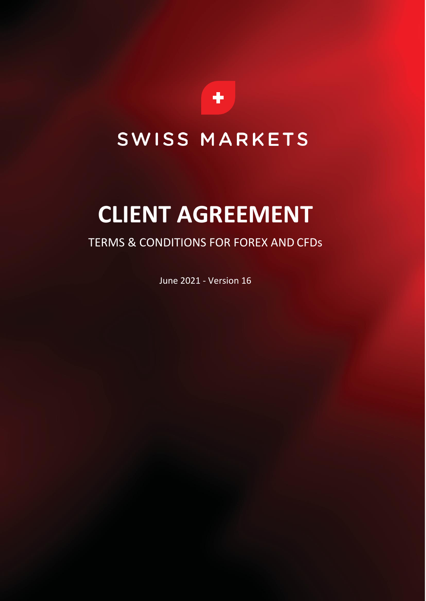

## SWISS MARKETS

# **CLIENT AGREEMENT**

### TERMS & CONDITIONS FOR FOREX AND CFDs

June 2021 - Version 16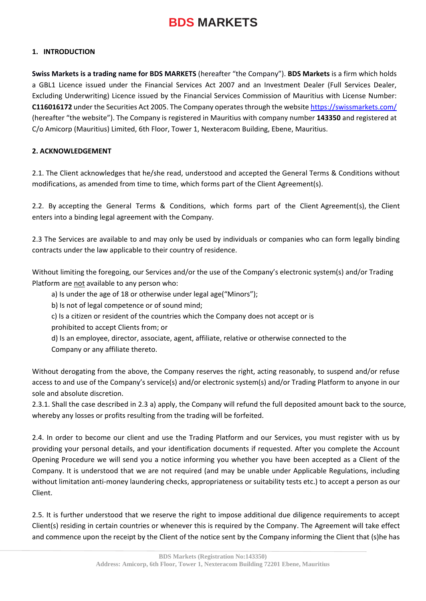#### **1. INTRODUCTION**

**Swiss Markets is a trading name for BDS MARKETS** (hereafter "the Company"). **BDS Markets** is a firm which holds a GBL1 Licence issued under the Financial Services Act 2007 and an Investment Dealer (Full Services Dealer, Excluding Underwriting) Licence issued by the Financial Services Commission of Mauritius with License Number: **C116016172** under the Securities Act 2005. The Company operates through the website<https://swissmarkets.com/> (hereafter "the website"). The Company is registered in Mauritius with company number **143350** and registered at C/o Amicorp (Mauritius) Limited, 6th Floor, Tower 1, Nexteracom Building, Ebene, Mauritius.

#### **2. ACKNOWLEDGEMENT**

2.1. The Client acknowledges that he/she read, understood and accepted the General Terms & Conditions without modifications, as amended from time to time, which forms part of the Client Agreement(s).

2.2. By accepting the General Terms & Conditions, which forms part of the Client Agreement(s), the Client enters into a binding legal agreement with the Company.

2.3 The Services are available to and may only be used by individuals or companies who can form legally binding contracts under the law applicable to their country of residence.

Without limiting the foregoing, our Services and/or the use of the Company's electronic system(s) and/or Trading Platform are not available to any person who:

a) Is under the age of 18 or otherwise under legal age("Minors");

b) Is not of legal competence or of sound mind;

c) Is a citizen or resident of the countries which the Company does not accept or is

prohibited to accept Clients from; or

d) Is an employee, director, associate, agent, affiliate, relative or otherwise connected to the Company or any affiliate thereto.

Without derogating from the above, the Company reserves the right, acting reasonably, to suspend and/or refuse access to and use of the Company's service(s) and/or electronic system(s) and/or Trading Platform to anyone in our sole and absolute discretion.

2.3.1. Shall the case described in 2.3 a) apply, the Company will refund the full deposited amount back to the source, whereby any losses or profits resulting from the trading will be forfeited.

2.4. In order to become our client and use the Trading Platform and our Services, you must register with us by providing your personal details, and your identification documents if requested. After you complete the Account Opening Procedure we will send you a notice informing you whether you have been accepted as a Client of the Company. It is understood that we are not required (and may be unable under Applicable Regulations, including without limitation anti-money laundering checks, appropriateness or suitability tests etc.) to accept a person as our Client.

2.5. It is further understood that we reserve the right to impose additional due diligence requirements to accept Client(s) residing in certain countries or whenever this is required by the Company. The Agreement will take effect and commence upon the receipt by the Client of the notice sent by the Company informing the Client that (s)he has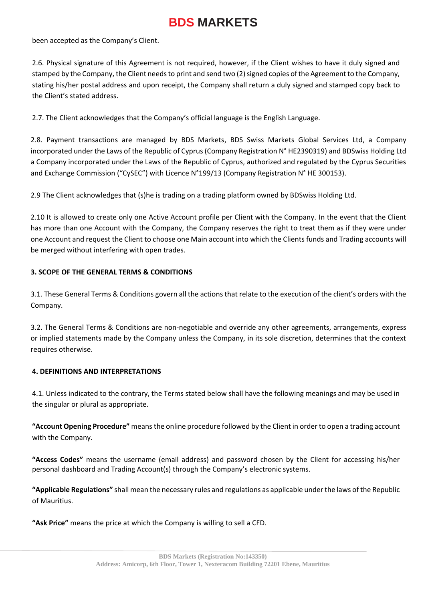been accepted as the Company's Client.

2.6. Physical signature of this Agreement is not required, however, if the Client wishes to have it duly signed and stamped by the Company, the Client needs to print and send two (2) signed copies of the Agreement to the Company, stating his/her postal address and upon receipt, the Company shall return a duly signed and stamped copy back to the Client's stated address.

2.7. The Client acknowledges that the Company's official language is the English Language.

2.8. Payment transactions are managed by BDS Markets, BDS Swiss Markets Global Services Ltd, a Company incorporated under the Laws of the Republic of Cyprus (Company Registration N° HE2390319) and BDSwiss Holding Ltd a Company incorporated under the Laws of the Republic of Cyprus, authorized and regulated by the Cyprus Securities and Exchange Commission ("CySEC") with Licence N°199/13 (Company Registration N° HE 300153).

2.9 The Client acknowledges that (s)he is trading on a trading platform owned by BDSwiss Holding Ltd.

2.10 It is allowed to create only one Active Account profile per Client with the Company. In the event that the Client has more than one Account with the Company, the Company reserves the right to treat them as if they were under one Account and request the Client to choose one Main account into which the Clients funds and Trading accounts will be merged without interfering with open trades.

#### **3. SCOPE OF THE GENERAL TERMS & CONDITIONS**

3.1. These General Terms & Conditions govern all the actions that relate to the execution of the client's orders with the Company.

3.2. The General Terms & Conditions are non-negotiable and override any other agreements, arrangements, express or implied statements made by the Company unless the Company, in its sole discretion, determines that the context requires otherwise.

#### **4. DEFINITIONS AND INTERPRETATIONS**

4.1. Unless indicated to the contrary, the Terms stated below shall have the following meanings and may be used in the singular or plural as appropriate.

**"Account Opening Procedure"** means the online procedure followed by the Client in order to open a trading account with the Company.

**"Access Codes"** means the username (email address) and password chosen by the Client for accessing his/her personal dashboard and Trading Account(s) through the Company's electronic systems.

**"Applicable Regulations"** shall mean the necessary rules and regulations as applicable under the laws of the Republic of Mauritius.

**"Ask Price"** means the price at which the Company is willing to sell a CFD.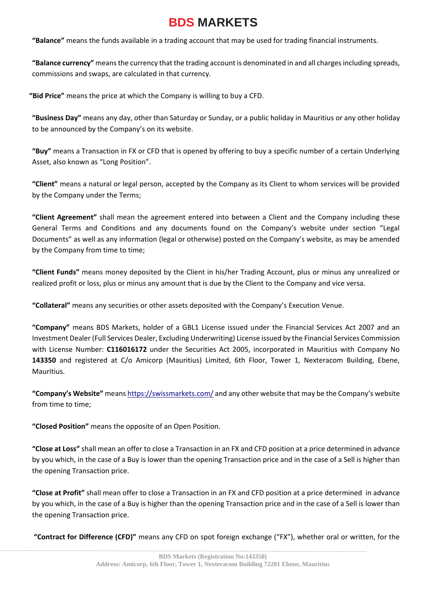**"Balance"** means the funds available in a trading account that may be used for trading financial instruments.

**"Balance currency"** means the currency that the trading account is denominated in and all charges including spreads, commissions and swaps, are calculated in that currency.

 **"Bid Price"** means the price at which the Company is willing to buy a CFD.

**"Business Day"** means any day, other than Saturday or Sunday, or a public holiday in Mauritius or any other holiday to be announced by the Company's on its website.

**"Buy"** means a Transaction in FX or CFD that is opened by offering to buy a specific number of a certain Underlying Asset, also known as "Long Position".

**"Client"** means a natural or legal person, accepted by the Company as its Client to whom services will be provided by the Company under the Terms;

**"Client Agreement"** shall mean the agreement entered into between a Client and the Company including these General Terms and Conditions and any documents found on the Company's website under section "Legal Documents" as well as any information (legal or otherwise) posted on the Company's website, as may be amended by the Company from time to time;

**"Client Funds"** means money deposited by the Client in his/her Trading Account, plus or minus any unrealized or realized profit or loss, plus or minus any amount that is due by the Client to the Company and vice versa.

**"Collateral"** means any securities or other assets deposited with the Company's Execution Venue.

**"Company"** means BDS Markets, holder of a GBL1 License issued under the Financial Services Act 2007 and an Investment Dealer (Full Services Dealer, Excluding Underwriting) License issued by the Financial Services Commission with License Number: **C116016172** under the Securities Act 2005, incorporated in Mauritius with Company No **143350** and registered at C/o Amicorp (Mauritius) Limited, 6th Floor, Tower 1, Nexteracom Building, Ebene, Mauritius.

**"Company's Website"** means https://swissmarkets.com/ and any other website that may be the Company's website from time to time;

**"Closed Position"** means the opposite of an Open Position.

**"Close at Loss"** shall mean an offer to close a Transaction in an FX and CFD position at a price determined in advance by you which, in the case of a Buy is lower than the opening Transaction price and in the case of a Sell is higher than the opening Transaction price.

**"Close at Profit"** shall mean offer to close a Transaction in an FX and CFD position at a price determined in advance by you which, in the case of a Buy is higher than the opening Transaction price and in the case of a Sell is lower than the opening Transaction price.

**"Contract for Difference (CFD)"** means any CFD on spot foreign exchange ("FX"), whether oral or written, for the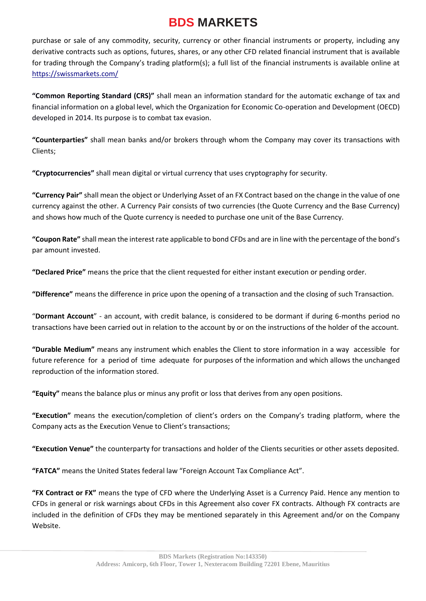purchase or sale of any commodity, security, currency or other financial instruments or property, including any derivative contracts such as options, futures, shares, or any other CFD related financial instrument that is available for trading through the Company's trading platform(s); a full list of the financial instruments is available online at https://swissmarkets.com/

**"Common Reporting Standard (CRS)"** shall mean an information standard for the automatic exchange of tax and financial information on a global level, which the Organization for Economic Co-operation and Development (OECD) developed in 2014. Its purpose is to combat tax evasion.

**"Counterparties"** shall mean banks and/or brokers through whom the Company may cover its transactions with Clients;

**"Cryptocurrencies"** shall mean digital or virtual currency that uses cryptography for security.

**"Currency Pair"** shall mean the object or Underlying Asset of an FX Contract based on the change in the value of one currency against the other. A Currency Pair consists of two currencies (the Quote Currency and the Base Currency) and shows how much of the Quote currency is needed to purchase one unit of the Base Currency.

**"Coupon Rate"** shall mean the interest rate applicable to bond CFDs and are in line with the percentage of the bond's par amount invested.

**"Declared Price"** means the price that the client requested for either instant execution or pending order.

**"Difference"** means the difference in price upon the opening of a transaction and the closing of such Transaction.

"**Dormant Account**" - an account, with credit balance, is considered to be dormant if during 6-months period no transactions have been carried out in relation to the account by or on the instructions of the holder of the account.

**"Durable Medium"** means any instrument which enables the Client to store information in a way accessible for future reference for a period of time adequate for purposes of the information and which allows the unchanged reproduction of the information stored.

**"Equity"** means the balance plus or minus any profit or loss that derives from any open positions.

**"Execution"** means the execution/completion of client's orders on the Company's trading platform, where the Company acts as the Execution Venue to Client's transactions;

**"Execution Venue"** the counterparty for transactions and holder of the Clients securities or other assets deposited.

**"FATCA"** means the United States federal law "Foreign Account Tax Compliance Act".

**"FX Contract or FX"** means the type of CFD where the Underlying Asset is a Currency Paid. Hence any mention to CFDs in general or risk warnings about CFDs in this Agreement also cover FX contracts. Although FX contracts are included in the definition of CFDs they may be mentioned separately in this Agreement and/or on the Company Website.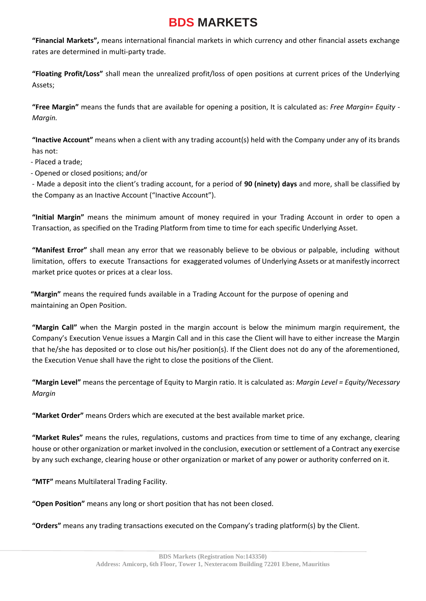**"Financial Markets",** means international financial markets in which currency and other financial assets exchange rates are determined in multi-party trade.

**"Floating Profit/Loss"** shall mean the unrealized profit/loss of open positions at current prices of the Underlying Assets;

**"Free Margin"** means the funds that are available for opening a position, It is calculated as: *Free Margin= Equity - Margin.*

**"Inactive Account"** means when a client with any trading account(s) held with the Company under any of its brands has not:

- Placed a trade;

- Opened or closed positions; and/or

- Made a deposit into the client's trading account, for a period of **90 (ninety) days** and more, shall be classified by the Company as an Inactive Account ("Inactive Account").

**"Initial Margin"** means the minimum amount of money required in your Trading Account in order to open a Transaction, as specified on the Trading Platform from time to time for each specific Underlying Asset.

**"Manifest Error"** shall mean any error that we reasonably believe to be obvious or palpable, including without limitation, offers to execute Transactions for exaggerated volumes of Underlying Assets or at manifestly incorrect market price quotes or prices at a clear loss.

**"Margin"** means the required funds available in a Trading Account for the purpose of opening and maintaining an Open Position.

**"Margin Call"** when the Margin posted in the margin account is below the minimum margin requirement, the Company's Execution Venue issues a Margin Call and in this case the Client will have to either increase the Margin that he/she has deposited or to close out his/her position(s). If the Client does not do any of the aforementioned, the Execution Venue shall have the right to close the positions of the Client.

**"Margin Level"** means the percentage of Equity to Margin ratio. It is calculated as: *Margin Level = Equity/Necessary Margin*

**"Market Order"** means Orders which are executed at the best available market price.

**"Market Rules"** means the rules, regulations, customs and practices from time to time of any exchange, clearing house or other organization or market involved in the conclusion, execution or settlement of a Contract any exercise by any such exchange, clearing house or other organization or market of any power or authority conferred on it.

**"MTF"** means Multilateral Trading Facility.

**"Open Position"** means any long or short position that has not been closed.

**"Orders"** means any trading transactions executed on the Company's trading platform(s) by the Client.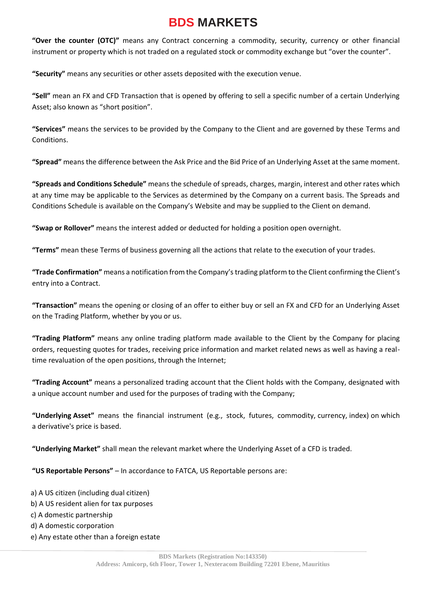**"Over the counter (OTC)"** means any Contract concerning a commodity, security, currency or other financial instrument or property which is not traded on a regulated stock or commodity exchange but "over the counter".

**"Security"** means any securities or other assets deposited with the execution venue.

**"Sell"** mean an FX and CFD Transaction that is opened by offering to sell a specific number of a certain Underlying Asset; also known as "short position".

**"Services"** means the services to be provided by the Company to the Client and are governed by these Terms and Conditions.

**"Spread"** means the difference between the Ask Price and the Bid Price of an Underlying Asset at the same moment.

**"Spreads and Conditions Schedule"** means the schedule of spreads, charges, margin, interest and other rates which at any time may be applicable to the Services as determined by the Company on a current basis. The Spreads and Conditions Schedule is available on the Company's Website and may be supplied to the Client on demand.

**"Swap or Rollover"** means the interest added or deducted for holding a position open overnight.

**"Terms"** mean these Terms of business governing all the actions that relate to the execution of your trades.

**"Trade Confirmation"** means a notification from the Company's trading platform to the Client confirming the Client's entry into a Contract.

**"Transaction"** means the opening or closing of an offer to either buy or sell an FX and CFD for an Underlying Asset on the Trading Platform, whether by you or us.

**"Trading Platform"** means any online trading platform made available to the Client by the Company for placing orders, requesting quotes for trades, receiving price information and market related news as well as having a realtime revaluation of the open positions, through the Internet;

**"Trading Account"** means a personalized trading account that the Client holds with the Company, designated with a unique account number and used for the purposes of trading with the Company;

**"Underlying Asset"** means the financial instrument (e.g., stock, futures, commodity, currency, index) on which a derivative's price is based.

**"Underlying Market"** shall mean the relevant market where the Underlying Asset of a CFD is traded.

**"US Reportable Persons"** – In accordance to FATCA, US Reportable persons are:

- a) A US citizen (including dual citizen) b) A US resident alien for tax purposes c) A domestic partnership d) A domestic corporation
- e) Any estate other than a foreign estate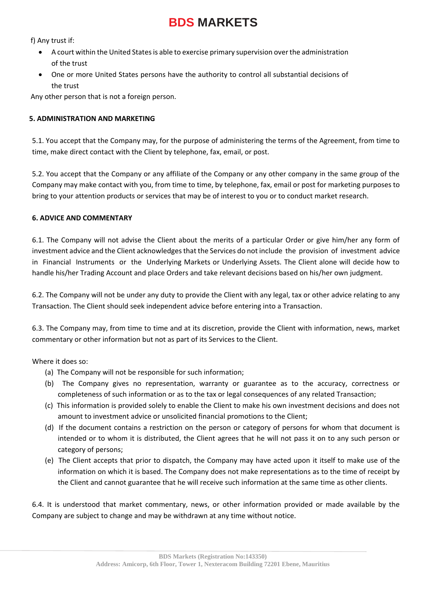f) Any trust if:

- A court within the United States is able to exercise primary supervision over the administration of the trust
- One or more United States persons have the authority to control all substantial decisions of the trust

Any other person that is not a foreign person.

### **5. ADMINISTRATION AND MARKETING**

5.1. You accept that the Company may, for the purpose of administering the terms of the Agreement, from time to time, make direct contact with the Client by telephone, fax, email, or post.

5.2. You accept that the Company or any affiliate of the Company or any other company in the same group of the Company may make contact with you, from time to time, by telephone, fax, email or post for marketing purposes to bring to your attention products or services that may be of interest to you or to conduct market research.

#### **6. ADVICE AND COMMENTARY**

6.1. The Company will not advise the Client about the merits of a particular Order or give him/her any form of investment advice and the Client acknowledges that the Services do not include the provision of investment advice in Financial Instruments or the Underlying Markets or Underlying Assets. The Client alone will decide how to handle his/her Trading Account and place Orders and take relevant decisions based on his/her own judgment.

6.2. The Company will not be under any duty to provide the Client with any legal, tax or other advice relating to any Transaction. The Client should seek independent advice before entering into a Transaction.

6.3. The Company may, from time to time and at its discretion, provide the Client with information, news, market commentary or other information but not as part of its Services to the Client.

Where it does so:

- (a) The Company will not be responsible for such information;
- (b) The Company gives no representation, warranty or guarantee as to the accuracy, correctness or completeness of such information or as to the tax or legal consequences of any related Transaction;
- (c) This information is provided solely to enable the Client to make his own investment decisions and does not amount to investment advice or unsolicited financial promotions to the Client;
- (d) If the document contains a restriction on the person or category of persons for whom that document is intended or to whom it is distributed, the Client agrees that he will not pass it on to any such person or category of persons;
- (e) The Client accepts that prior to dispatch, the Company may have acted upon it itself to make use of the information on which it is based. The Company does not make representations as to the time of receipt by the Client and cannot guarantee that he will receive such information at the same time as other clients.

6.4. It is understood that market commentary, news, or other information provided or made available by the Company are subject to change and may be withdrawn at any time without notice.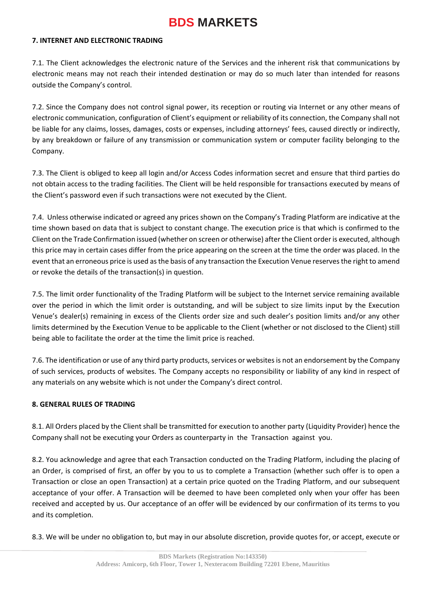#### **7. INTERNET AND ELECTRONIC TRADING**

7.1. The Client acknowledges the electronic nature of the Services and the inherent risk that communications by electronic means may not reach their intended destination or may do so much later than intended for reasons outside the Company's control.

7.2. Since the Company does not control signal power, its reception or routing via Internet or any other means of electronic communication, configuration of Client's equipment or reliability of its connection, the Company shall not be liable for any claims, losses, damages, costs or expenses, including attorneys' fees, caused directly or indirectly, by any breakdown or failure of any transmission or communication system or computer facility belonging to the Company.

7.3. The Client is obliged to keep all login and/or Access Codes information secret and ensure that third parties do not obtain access to the trading facilities. The Client will be held responsible for transactions executed by means of the Client's password even if such transactions were not executed by the Client.

7.4. Unless otherwise indicated or agreed any prices shown on the Company's Trading Platform are indicative at the time shown based on data that is subject to constant change. The execution price is that which is confirmed to the Client on the Trade Confirmation issued (whether on screen or otherwise) after the Client order is executed, although this price may in certain cases differ from the price appearing on the screen at the time the order was placed. In the event that an erroneous price is used as the basis of any transaction the Execution Venue reserves the right to amend or revoke the details of the transaction(s) in question.

7.5. The limit order functionality of the Trading Platform will be subject to the Internet service remaining available over the period in which the limit order is outstanding, and will be subject to size limits input by the Execution Venue's dealer(s) remaining in excess of the Clients order size and such dealer's position limits and/or any other limits determined by the Execution Venue to be applicable to the Client (whether or not disclosed to the Client) still being able to facilitate the order at the time the limit price is reached.

7.6. The identification or use of any third party products, services or websites is not an endorsement by the Company of such services, products of websites. The Company accepts no responsibility or liability of any kind in respect of any materials on any website which is not under the Company's direct control.

#### **8. GENERAL RULES OF TRADING**

8.1. All Orders placed by the Client shall be transmitted for execution to another party (Liquidity Provider) hence the Company shall not be executing your Orders as counterparty in the Transaction against you.

8.2. You acknowledge and agree that each Transaction conducted on the Trading Platform, including the placing of an Order, is comprised of first, an offer by you to us to complete a Transaction (whether such offer is to open a Transaction or close an open Transaction) at a certain price quoted on the Trading Platform, and our subsequent acceptance of your offer. A Transaction will be deemed to have been completed only when your offer has been received and accepted by us. Our acceptance of an offer will be evidenced by our confirmation of its terms to you and its completion.

8.3. We will be under no obligation to, but may in our absolute discretion, provide quotes for, or accept, execute or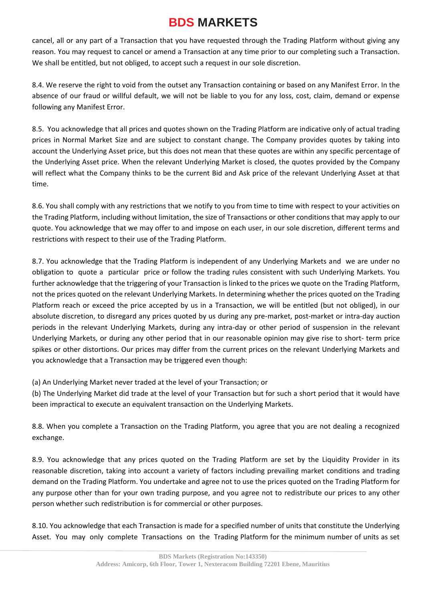cancel, all or any part of a Transaction that you have requested through the Trading Platform without giving any reason. You may request to cancel or amend a Transaction at any time prior to our completing such a Transaction. We shall be entitled, but not obliged, to accept such a request in our sole discretion.

8.4. We reserve the right to void from the outset any Transaction containing or based on any Manifest Error. In the absence of our fraud or willful default, we will not be liable to you for any loss, cost, claim, demand or expense following any Manifest Error.

8.5. You acknowledge that all prices and quotes shown on the Trading Platform are indicative only of actual trading prices in Normal Market Size and are subject to constant change. The Company provides quotes by taking into account the Underlying Asset price, but this does not mean that these quotes are within any specific percentage of the Underlying Asset price. When the relevant Underlying Market is closed, the quotes provided by the Company will reflect what the Company thinks to be the current Bid and Ask price of the relevant Underlying Asset at that time.

8.6. You shall comply with any restrictions that we notify to you from time to time with respect to your activities on the Trading Platform, including without limitation, the size of Transactions or other conditions that may apply to our quote. You acknowledge that we may offer to and impose on each user, in our sole discretion, different terms and restrictions with respect to their use of the Trading Platform.

8.7. You acknowledge that the Trading Platform is independent of any Underlying Markets and we are under no obligation to quote a particular price or follow the trading rules consistent with such Underlying Markets. You further acknowledge that the triggering of your Transaction is linked to the prices we quote on the Trading Platform, not the prices quoted on the relevant Underlying Markets. In determining whether the prices quoted on the Trading Platform reach or exceed the price accepted by us in a Transaction, we will be entitled (but not obliged), in our absolute discretion, to disregard any prices quoted by us during any pre-market, post-market or intra-day auction periods in the relevant Underlying Markets, during any intra-day or other period of suspension in the relevant Underlying Markets, or during any other period that in our reasonable opinion may give rise to short- term price spikes or other distortions. Our prices may differ from the current prices on the relevant Underlying Markets and you acknowledge that a Transaction may be triggered even though:

(a) An Underlying Market never traded at the level of your Transaction; or

(b) The Underlying Market did trade at the level of your Transaction but for such a short period that it would have been impractical to execute an equivalent transaction on the Underlying Markets.

8.8. When you complete a Transaction on the Trading Platform, you agree that you are not dealing a recognized exchange.

8.9. You acknowledge that any prices quoted on the Trading Platform are set by the Liquidity Provider in its reasonable discretion, taking into account a variety of factors including prevailing market conditions and trading demand on the Trading Platform. You undertake and agree not to use the prices quoted on the Trading Platform for any purpose other than for your own trading purpose, and you agree not to redistribute our prices to any other person whether such redistribution is for commercial or other purposes.

8.10. You acknowledge that each Transaction is made for a specified number of units that constitute the Underlying Asset. You may only complete Transactions on the Trading Platform for the minimum number of units as set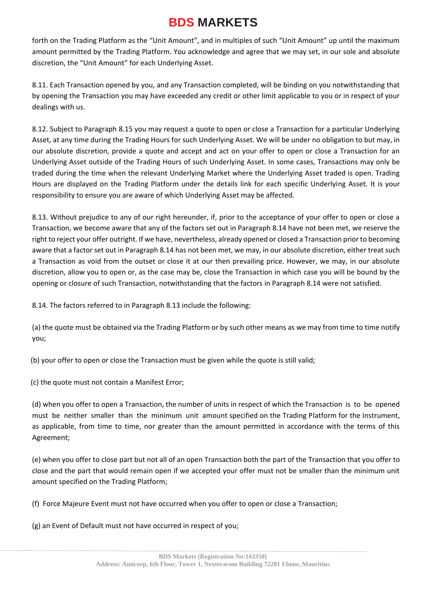forth on the Trading Platform as the "Unit Amount", and in multiples of such "Unit Amount" up until the maximum amount permitted by the Trading Platform. You acknowledge and agree that we may set, in our sole and absolute discretion, the "Unit Amount" for each Underlying Asset.

8.11. Each Transaction opened by you, and any Transaction completed, will be binding on you notwithstanding that by opening the Transaction you may have exceeded any credit or other limit applicable to you or in respect of your dealings with us.

8.12. Subject to Paragraph 8.15 you may request a quote to open or close a Transaction for a particular Underlying Asset, at any time during the Trading Hours for such Underlying Asset. We will be under no obligation to but may, in our absolute discretion, provide a quote and accept and act on your offer to open or close a Transaction for an Underlying Asset outside of the Trading Hours of such Underlying Asset. In some cases, Transactions may only be traded during the time when the relevant Underlying Market where the Underlying Asset traded is open. Trading Hours are displayed on the Trading Platform under the details link for each specific Underlying Asset. It is your responsibility to ensure you are aware of which Underlying Asset may be affected.

8.13. Without prejudice to any of our right hereunder, if, prior to the acceptance of your offer to open or close a Transaction, we become aware that any of the factors set out in Paragraph 8.14 have not been met, we reserve the right to reject your offer outright. If we have, nevertheless, already opened or closed a Transaction prior to becoming aware that a factor set out in Paragraph 8.14 has not been met, we may, in our absolute discretion, either treat such a Transaction as void from the outset or close it at our then prevailing price. However, we may, in our absolute discretion, allow you to open or, as the case may be, close the Transaction in which case you will be bound by the opening or closure of such Transaction, notwithstanding that the factors in Paragraph 8.14 were not satisfied.

8.14. The factors referred to in Paragraph 8.13 include the following:

(a) the quote must be obtained via the Trading Platform or by such other means as we may from time to time notify you;

(b) your offer to open or close the Transaction must be given while the quote is still valid;

(c) the quote must not contain a Manifest Error;

(d) when you offer to open a Transaction, the number of units in respect of which the Transaction is to be opened must be neither smaller than the minimum unit amount specified on the Trading Platform for the Instrument, as applicable, from time to time, nor greater than the amount permitted in accordance with the terms of this Agreement;

(e) when you offer to close part but not all of an open Transaction both the part of the Transaction that you offer to close and the part that would remain open if we accepted your offer must not be smaller than the minimum unit amount specified on the Trading Platform;

(f) Force Majeure Event must not have occurred when you offer to open or close a Transaction;

(g) an Event of Default must not have occurred in respect of you;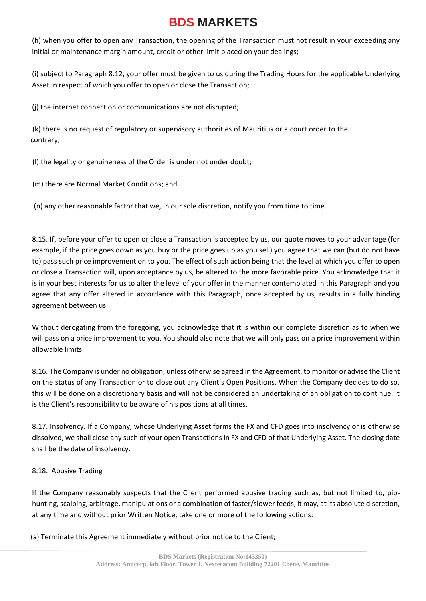(h) when you offer to open any Transaction, the opening of the Transaction must not result in your exceeding any initial or maintenance margin amount, credit or other limit placed on your dealings;

(i) subject to Paragraph 8.12, your offer must be given to us during the Trading Hours for the applicable Underlying Asset in respect of which you offer to open or close the Transaction;

(j) the internet connection or communications are not disrupted;

(k) there is no request of regulatory or supervisory authorities of Mauritius or a court order to the contrary;

(l) the legality or genuineness of the Order is under not under doubt;

(m) there are Normal Market Conditions; and

(n) any other reasonable factor that we, in our sole discretion, notify you from time to time.

8.15. If, before your offer to open or close a Transaction is accepted by us, our quote moves to your advantage (for example, if the price goes down as you buy or the price goes up as you sell) you agree that we can (but do not have to) pass such price improvement on to you. The effect of such action being that the level at which you offer to open or close a Transaction will, upon acceptance by us, be altered to the more favorable price. You acknowledge that it is in your best interests for us to alter the level of your offer in the manner contemplated in this Paragraph and you agree that any offer altered in accordance with this Paragraph, once accepted by us, results in a fully binding agreement between us.

Without derogating from the foregoing, you acknowledge that it is within our complete discretion as to when we will pass on a price improvement to you. You should also note that we will only pass on a price improvement within allowable limits.

8.16. The Company is under no obligation, unless otherwise agreed in the Agreement, to monitor or advise the Client on the status of any Transaction or to close out any Client's Open Positions. When the Company decides to do so, this will be done on a discretionary basis and will not be considered an undertaking of an obligation to continue. It is the Client's responsibility to be aware of his positions at all times.

8.17. Insolvency. If a Company, whose Underlying Asset forms the FX and CFD goes into insolvency or is otherwise dissolved, we shall close any such of your open Transactions in FX and CFD of that Underlying Asset. The closing date shall be the date of insolvency.

### 8.18. Abusive Trading

If the Company reasonably suspects that the Client performed abusive trading such as, but not limited to, piphunting, scalping, arbitrage, manipulations or a combination of faster/slower feeds, it may, at its absolute discretion, at any time and without prior Written Notice, take one or more of the following actions:

(a) Terminate this Agreement immediately without prior notice to the Client;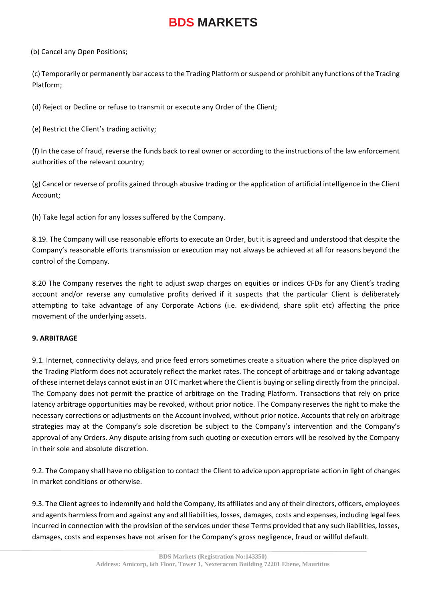(b) Cancel any Open Positions;

(c) Temporarily or permanently bar access to the Trading Platform or suspend or prohibit any functions of the Trading Platform;

(d) Reject or Decline or refuse to transmit or execute any Order of the Client;

(e) Restrict the Client's trading activity;

(f) In the case of fraud, reverse the funds back to real owner or according to the instructions of the law enforcement authorities of the relevant country;

(g) Cancel or reverse of profits gained through abusive trading or the application of artificial intelligence in the Client Account;

(h) Take legal action for any losses suffered by the Company.

8.19. The Company will use reasonable efforts to execute an Order, but it is agreed and understood that despite the Company's reasonable efforts transmission or execution may not always be achieved at all for reasons beyond the control of the Company.

8.20 The Company reserves the right to adjust swap charges on equities or indices CFDs for any Client's trading account and/or reverse any cumulative profits derived if it suspects that the particular Client is deliberately attempting to take advantage of any Corporate Actions (i.e. ex-dividend, share split etc) affecting the price movement of the underlying assets.

### **9. ARBITRAGE**

9.1. Internet, connectivity delays, and price feed errors sometimes create a situation where the price displayed on the Trading Platform does not accurately reflect the market rates. The concept of arbitrage and or taking advantage of these internet delays cannot exist in an OTC market where the Client is buying or selling directly from the principal. The Company does not permit the practice of arbitrage on the Trading Platform. Transactions that rely on price latency arbitrage opportunities may be revoked, without prior notice. The Company reserves the right to make the necessary corrections or adjustments on the Account involved, without prior notice. Accounts that rely on arbitrage strategies may at the Company's sole discretion be subject to the Company's intervention and the Company's approval of any Orders. Any dispute arising from such quoting or execution errors will be resolved by the Company in their sole and absolute discretion.

9.2. The Company shall have no obligation to contact the Client to advice upon appropriate action in light of changes in market conditions or otherwise.

9.3. The Client agrees to indemnify and hold the Company, its affiliates and any of their directors, officers, employees and agents harmless from and against any and all liabilities, losses, damages, costs and expenses, including legal fees incurred in connection with the provision of the services under these Terms provided that any such liabilities, losses, damages, costs and expenses have not arisen for the Company's gross negligence, fraud or willful default.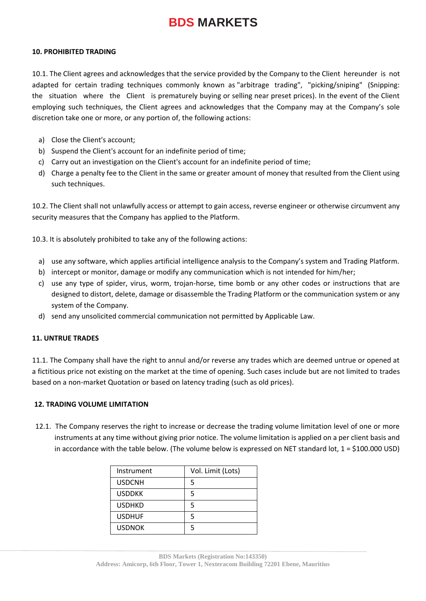#### **10. PROHIBITED TRADING**

10.1. The Client agrees and acknowledges that the service provided by the Company to the Client hereunder is not adapted for certain trading techniques commonly known as "arbitrage trading", "picking/sniping" (Snipping: the situation where the Client is prematurely buying or selling near preset prices). In the event of the Client employing such techniques, the Client agrees and acknowledges that the Company may at the Company's sole discretion take one or more, or any portion of, the following actions:

- a) Close the Client's account;
- b) Suspend the Client's account for an indefinite period of time;
- c) Carry out an investigation on the Client's account for an indefinite period of time;
- d) Charge a penalty fee to the Client in the same or greater amount of money that resulted from the Client using such techniques.

10.2. The Client shall not unlawfully access or attempt to gain access, reverse engineer or otherwise circumvent any security measures that the Company has applied to the Platform.

10.3. It is absolutely prohibited to take any of the following actions:

- a) use any software, which applies artificial intelligence analysis to the Company's system and Trading Platform.
- b) intercept or monitor, damage or modify any communication which is not intended for him/her;
- c) use any type of spider, virus, worm, trojan-horse, time bomb or any other codes or instructions that are designed to distort, delete, damage or disassemble the Trading Platform or the communication system or any system of the Company.
- d) send any unsolicited commercial communication not permitted by Applicable Law.

#### **11. UNTRUE TRADES**

11.1. The Company shall have the right to annul and/or reverse any trades which are deemed untrue or opened at a fictitious price not existing on the market at the time of opening. Such cases include but are not limited to trades based on a non-market Quotation or based on latency trading (such as old prices).

#### **12. TRADING VOLUME LIMITATION**

12.1. The Company reserves the right to increase or decrease the trading volume limitation level of one or more instruments at any time without giving prior notice. The volume limitation is applied on a per client basis and in accordance with the table below. (The volume below is expressed on NET standard lot,  $1 = $100.000 \text{ USD}$ )

| Instrument    | Vol. Limit (Lots) |
|---------------|-------------------|
| <b>USDCNH</b> | 5                 |
| <b>USDDKK</b> | 5                 |
| <b>USDHKD</b> | 5                 |
| <b>USDHUF</b> | 5                 |
| <b>USDNOK</b> | 5                 |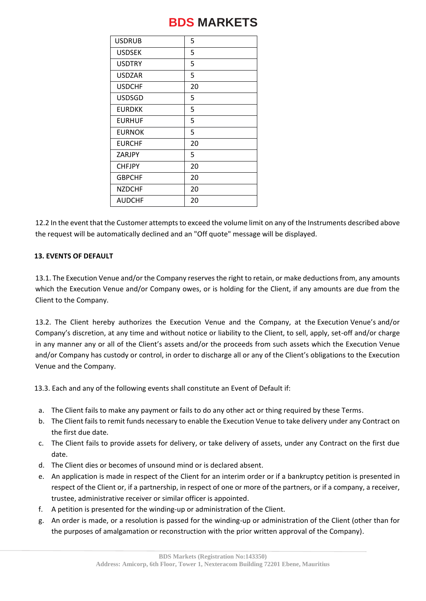| <b>USDRUB</b> | 5  |
|---------------|----|
| <b>USDSEK</b> | 5  |
| <b>USDTRY</b> | 5  |
| <b>USDZAR</b> | 5  |
| <b>USDCHF</b> | 20 |
| <b>USDSGD</b> | 5  |
| <b>EURDKK</b> | 5  |
| <b>EURHUF</b> | 5  |
| <b>EURNOK</b> | 5  |
| <b>EURCHF</b> | 20 |
| ZARJPY        | 5  |
| <b>CHFJPY</b> | 20 |
| <b>GBPCHF</b> | 20 |
| <b>NZDCHF</b> | 20 |
| <b>AUDCHF</b> | 20 |

12.2 In the event that the Customer attempts to exceed the volume limit on any of the Instruments described above the request will be automatically declined and an "Off quote" message will be displayed.

### **13. EVENTS OF DEFAULT**

13.1. The Execution Venue and/or the Company reserves the right to retain, or make deductions from, any amounts which the Execution Venue and/or Company owes, or is holding for the Client, if any amounts are due from the Client to the Company.

13.2. The Client hereby authorizes the Execution Venue and the Company, at the Execution Venue's and/or Company's discretion, at any time and without notice or liability to the Client, to sell, apply, set-off and/or charge in any manner any or all of the Client's assets and/or the proceeds from such assets which the Execution Venue and/or Company has custody or control, in order to discharge all or any of the Client's obligations to the Execution Venue and the Company.

13.3. Each and any of the following events shall constitute an Event of Default if:

- a. The Client fails to make any payment or fails to do any other act or thing required by these Terms.
- b. The Client fails to remit funds necessary to enable the Execution Venue to take delivery under any Contract on the first due date.
- c. The Client fails to provide assets for delivery, or take delivery of assets, under any Contract on the first due date.
- d. The Client dies or becomes of unsound mind or is declared absent.
- e. An application is made in respect of the Client for an interim order or if a bankruptcy petition is presented in respect of the Client or, if a partnership, in respect of one or more of the partners, or if a company, a receiver, trustee, administrative receiver or similar officer is appointed.
- f. A petition is presented for the winding-up or administration of the Client.
- g. An order is made, or a resolution is passed for the winding-up or administration of the Client (other than for the purposes of amalgamation or reconstruction with the prior written approval of the Company).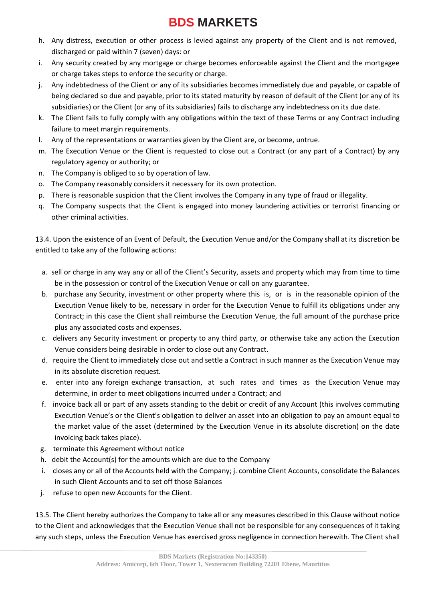- h. Any distress, execution or other process is levied against any property of the Client and is not removed, discharged or paid within 7 (seven) days: or
- i. Any security created by any mortgage or charge becomes enforceable against the Client and the mortgagee or charge takes steps to enforce the security or charge.
- j. Any indebtedness of the Client or any of its subsidiaries becomes immediately due and payable, or capable of being declared so due and payable, prior to its stated maturity by reason of default of the Client (or any of its subsidiaries) or the Client (or any of its subsidiaries) fails to discharge any indebtedness on its due date.
- k. The Client fails to fully comply with any obligations within the text of these Terms or any Contract including failure to meet margin requirements.
- l. Any of the representations or warranties given by the Client are, or become, untrue.
- m. The Execution Venue or the Client is requested to close out a Contract (or any part of a Contract) by any regulatory agency or authority; or
- n. The Company is obliged to so by operation of law.
- o. The Company reasonably considers it necessary for its own protection.
- p. There is reasonable suspicion that the Client involves the Company in any type of fraud or illegality.
- q. The Company suspects that the Client is engaged into money laundering activities or terrorist financing or other criminal activities.

13.4. Upon the existence of an Event of Default, the Execution Venue and/or the Company shall at its discretion be entitled to take any of the following actions:

- a. sell or charge in any way any or all of the Client's Security, assets and property which may from time to time be in the possession or control of the Execution Venue or call on any guarantee.
- b. purchase any Security, investment or other property where this is, or is in the reasonable opinion of the Execution Venue likely to be, necessary in order for the Execution Venue to fulfill its obligations under any Contract; in this case the Client shall reimburse the Execution Venue, the full amount of the purchase price plus any associated costs and expenses.
- c. delivers any Security investment or property to any third party, or otherwise take any action the Execution Venue considers being desirable in order to close out any Contract.
- d. require the Client to immediately close out and settle a Contract in such manner as the Execution Venue may in its absolute discretion request.
- e. enter into any foreign exchange transaction, at such rates and times as the Execution Venue may determine, in order to meet obligations incurred under a Contract; and
- f. invoice back all or part of any assets standing to the debit or credit of any Account (this involves commuting Execution Venue's or the Client's obligation to deliver an asset into an obligation to pay an amount equal to the market value of the asset (determined by the Execution Venue in its absolute discretion) on the date invoicing back takes place).
- g. terminate this Agreement without notice
- h. debit the Account(s) for the amounts which are due to the Company
- i. closes any or all of the Accounts held with the Company; j. combine Client Accounts, consolidate the Balances in such Client Accounts and to set off those Balances
- j. refuse to open new Accounts for the Client.

13.5. The Client hereby authorizes the Company to take all or any measures described in this Clause without notice to the Client and acknowledges that the Execution Venue shall not be responsible for any consequences of it taking any such steps, unless the Execution Venue has exercised gross negligence in connection herewith. The Client shall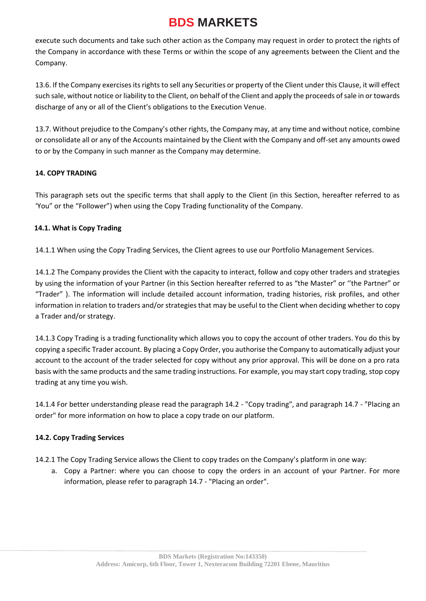execute such documents and take such other action as the Company may request in order to protect the rights of the Company in accordance with these Terms or within the scope of any agreements between the Client and the Company.

13.6. If the Company exercises its rights to sell any Securities or property of the Client under this Clause, it will effect such sale, without notice or liability to the Client, on behalf of the Client and apply the proceeds of sale in or towards discharge of any or all of the Client's obligations to the Execution Venue.

13.7. Without prejudice to the Company's other rights, the Company may, at any time and without notice, combine or consolidate all or any of the Accounts maintained by the Client with the Company and off-set any amounts owed to or by the Company in such manner as the Company may determine.

### **14. COPY TRADING**

This paragraph sets out the specific terms that shall apply to the Client (in this Section, hereafter referred to as 'You" or the "Follower") when using the Copy Trading functionality of the Company.

#### **14.1. What is Copy Trading**

14.1.1 When using the Copy Trading Services, the Client agrees to use our Portfolio Management Services.

14.1.2 The Company provides the Client with the capacity to interact, follow and copy other traders and strategies by using the information of your Partner (in this Section hereafter referred to as "the Master" or ''the Partner" or "Trader" ). The information will include detailed account information, trading histories, risk profiles, and other information in relation to traders and/or strategies that may be useful to the Client when deciding whether to copy a Trader and/or strategy.

14.1.3 Copy Trading is a trading functionality which allows you to copy the account of other traders. You do this by copying a specific Trader account. By placing a Copy Order, you authorise the Company to automatically adjust your account to the account of the trader selected for copy without any prior approval. This will be done on a pro rata basis with the same products and the same trading instructions. For example, you may start copy trading, stop copy trading at any time you wish.

14.1.4 For better understanding please read the paragraph 14.2 - "Copy trading", and paragraph 14.7 - "Placing an order" for more information on how to place a copy trade on our platform.

### **14.2. Copy Trading Services**

14.2.1 The Copy Trading Service allows the Client to copy trades on the Company's platform in one way:

a. Copy a Partner: where you can choose to copy the orders in an account of your Partner. For more information, please refer to paragraph 14.7 - "Placing an order".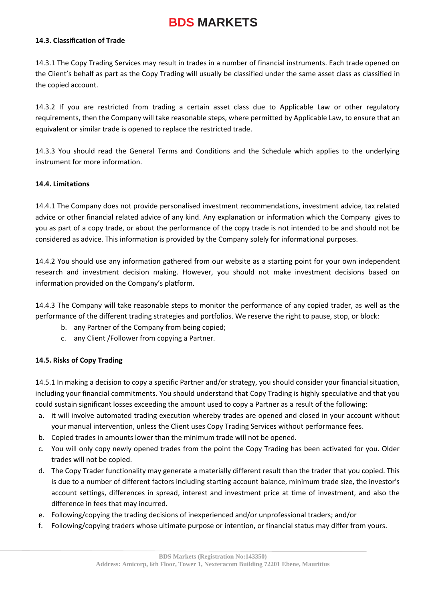#### **14.3. Classification of Trade**

14.3.1 The Copy Trading Services may result in trades in a number of financial instruments. Each trade opened on the Client's behalf as part as the Copy Trading will usually be classified under the same asset class as classified in the copied account.

14.3.2 If you are restricted from trading a certain asset class due to Applicable Law or other regulatory requirements, then the Company will take reasonable steps, where permitted by Applicable Law, to ensure that an equivalent or similar trade is opened to replace the restricted trade.

14.3.3 You should read the General Terms and Conditions and the Schedule which applies to the underlying instrument for more information.

#### **14.4. Limitations**

14.4.1 The Company does not provide personalised investment recommendations, investment advice, tax related advice or other financial related advice of any kind. Any explanation or information which the Company gives to you as part of a copy trade, or about the performance of the copy trade is not intended to be and should not be considered as advice. This information is provided by the Company solely for informational purposes.

14.4.2 You should use any information gathered from our website as a starting point for your own independent research and investment decision making. However, you should not make investment decisions based on information provided on the Company's platform.

14.4.3 The Company will take reasonable steps to monitor the performance of any copied trader, as well as the performance of the different trading strategies and portfolios. We reserve the right to pause, stop, or block:

- b. any Partner of the Company from being copied;
- c. any Client /Follower from copying a Partner.

#### **14.5. Risks of Copy Trading**

14.5.1 In making a decision to copy a specific Partner and/or strategy, you should consider your financial situation, including your financial commitments. You should understand that Copy Trading is highly speculative and that you could sustain significant losses exceeding the amount used to copy a Partner as a result of the following:

- a. it will involve automated trading execution whereby trades are opened and closed in your account without your manual intervention, unless the Client uses Copy Trading Services without performance fees.
- b. Copied trades in amounts lower than the minimum trade will not be opened.
- c. You will only copy newly opened trades from the point the Copy Trading has been activated for you. Older trades will not be copied.
- d. The Copy Trader functionality may generate a materially different result than the trader that you copied. This is due to a number of different factors including starting account balance, minimum trade size, the investor's account settings, differences in spread, interest and investment price at time of investment, and also the difference in fees that may incurred.
- e. Following/copying the trading decisions of inexperienced and/or unprofessional traders; and/or
- f. Following/copying traders whose ultimate purpose or intention, or financial status may differ from yours.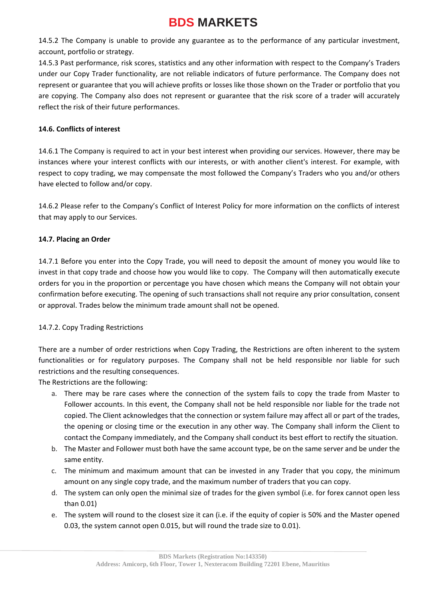14.5.2 The Company is unable to provide any guarantee as to the performance of any particular investment, account, portfolio or strategy.

14.5.3 Past performance, risk scores, statistics and any other information with respect to the Company's Traders under our Copy Trader functionality, are not reliable indicators of future performance. The Company does not represent or guarantee that you will achieve profits or losses like those shown on the Trader or portfolio that you are copying. The Company also does not represent or guarantee that the risk score of a trader will accurately reflect the risk of their future performances.

### **14.6. Conflicts of interest**

14.6.1 The Company is required to act in your best interest when providing our services. However, there may be instances where your interest conflicts with our interests, or with another client's interest. For example, with respect to copy trading, we may compensate the most followed the Company's Traders who you and/or others have elected to follow and/or copy.

14.6.2 Please refer to the Company's Conflict of Interest Policy for more information on the conflicts of interest that may apply to our Services.

#### **14.7. Placing an Order**

14.7.1 Before you enter into the Copy Trade, you will need to deposit the amount of money you would like to invest in that copy trade and choose how you would like to copy. The Company will then automatically execute orders for you in the proportion or percentage you have chosen which means the Company will not obtain your confirmation before executing. The opening of such transactions shall not require any prior consultation, consent or approval. Trades below the minimum trade amount shall not be opened.

### 14.7.2. Copy Trading Restrictions

There are a number of order restrictions when Copy Trading, the Restrictions are often inherent to the system functionalities or for regulatory purposes. The Company shall not be held responsible nor liable for such restrictions and the resulting consequences.

The Restrictions are the following:

- a. There may be rare cases where the connection of the system fails to copy the trade from Master to Follower accounts. In this event, the Company shall not be held responsible nor liable for the trade not copied. The Client acknowledges that the connection or system failure may affect all or part of the trades, the opening or closing time or the execution in any other way. The Company shall inform the Client to contact the Company immediately, and the Company shall conduct its best effort to rectify the situation.
- b. The Master and Follower must both have the same account type, be on the same server and be under the same entity.
- c. The minimum and maximum amount that can be invested in any Trader that you copy, the minimum amount on any single copy trade, and the maximum number of traders that you can copy.
- d. The system can only open the minimal size of trades for the given symbol (i.e. for forex cannot open less than 0.01)
- e. The system will round to the closest size it can (i.e. if the equity of copier is 50% and the Master opened 0.03, the system cannot open 0.015, but will round the trade size to 0.01).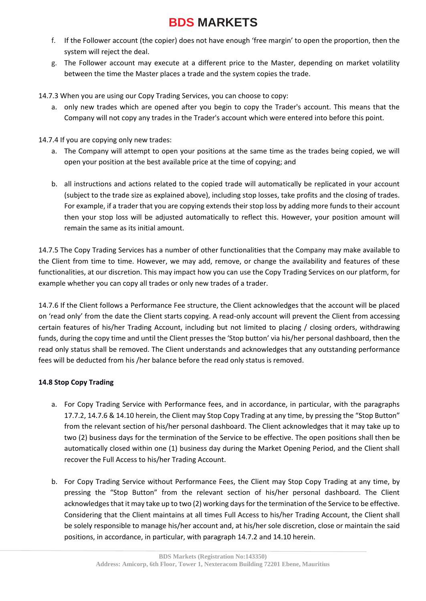- f. If the Follower account (the copier) does not have enough 'free margin' to open the proportion, then the system will reject the deal.
- g. The Follower account may execute at a different price to the Master, depending on market volatility between the time the Master places a trade and the system copies the trade.

14.7.3 When you are using our Copy Trading Services, you can choose to copy:

a. only new trades which are opened after you begin to copy the Trader's account. This means that the Company will not copy any trades in the Trader's account which were entered into before this point.

14.7.4 If you are copying only new trades:

- a. The Company will attempt to open your positions at the same time as the trades being copied, we will open your position at the best available price at the time of copying; and
- b. all instructions and actions related to the copied trade will automatically be replicated in your account (subject to the trade size as explained above), including stop losses, take profits and the closing of trades. For example, if a trader that you are copying extends their stop loss by adding more funds to their account then your stop loss will be adjusted automatically to reflect this. However, your position amount will remain the same as its initial amount.

14.7.5 The Copy Trading Services has a number of other functionalities that the Company may make available to the Client from time to time. However, we may add, remove, or change the availability and features of these functionalities, at our discretion. This may impact how you can use the Copy Trading Services on our platform, for example whether you can copy all trades or only new trades of a trader.

14.7.6 If the Client follows a Performance Fee structure, the Client acknowledges that the account will be placed on 'read only' from the date the Client starts copying. A read-only account will prevent the Client from accessing certain features of his/her Trading Account, including but not limited to placing / closing orders, withdrawing funds, during the copy time and until the Client presses the 'Stop button' via his/her personal dashboard, then the read only status shall be removed. The Client understands and acknowledges that any outstanding performance fees will be deducted from his /her balance before the read only status is removed.

### **14.8 Stop Copy Trading**

- a. For Copy Trading Service with Performance fees, and in accordance, in particular, with the paragraphs 17.7.2, 14.7.6 & 14.10 herein, the Client may Stop Copy Trading at any time, by pressing the "Stop Button" from the relevant section of his/her personal dashboard. The Client acknowledges that it may take up to two (2) business days for the termination of the Service to be effective. The open positions shall then be automatically closed within one (1) business day during the Market Opening Period, and the Client shall recover the Full Access to his/her Trading Account.
- b. For Copy Trading Service without Performance Fees, the Client may Stop Copy Trading at any time, by pressing the "Stop Button" from the relevant section of his/her personal dashboard. The Client acknowledges that it may take up to two (2) working days for the termination of the Service to be effective. Considering that the Client maintains at all times Full Access to his/her Trading Account, the Client shall be solely responsible to manage his/her account and, at his/her sole discretion, close or maintain the said positions, in accordance, in particular, with paragraph 14.7.2 and 14.10 herein.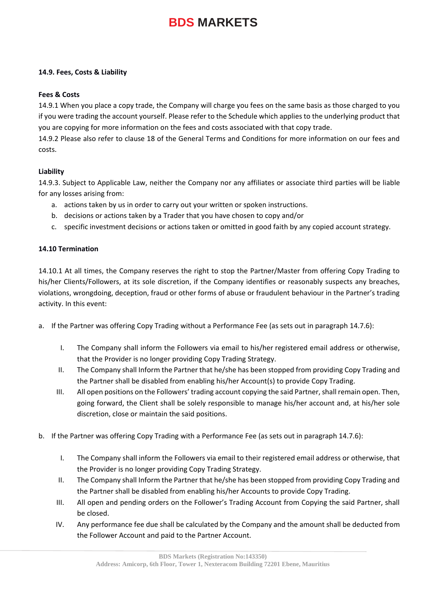#### **14.9. Fees, Costs & Liability**

#### **Fees & Costs**

14.9.1 When you place a copy trade, the Company will charge you fees on the same basis as those charged to you if you were trading the account yourself. Please refer to the Schedule which applies to the underlying product that you are copying for more information on the fees and costs associated with that copy trade.

14.9.2 Please also refer to clause 18 of the General Terms and Conditions for more information on our fees and costs.

#### **Liability**

14.9.3. Subject to Applicable Law, neither the Company nor any affiliates or associate third parties will be liable for any losses arising from:

- a. actions taken by us in order to carry out your written or spoken instructions.
- b. decisions or actions taken by a Trader that you have chosen to copy and/or
- c. specific investment decisions or actions taken or omitted in good faith by any copied account strategy.

#### **14.10 Termination**

14.10.1 At all times, the Company reserves the right to stop the Partner/Master from offering Copy Trading to his/her Clients/Followers, at its sole discretion, if the Company identifies or reasonably suspects any breaches, violations, wrongdoing, deception, fraud or other forms of abuse or fraudulent behaviour in the Partner's trading activity. In this event:

- a. If the Partner was offering Copy Trading without a Performance Fee (as sets out in paragraph 14.7.6):
	- I. The Company shall inform the Followers via email to his/her registered email address or otherwise, that the Provider is no longer providing Copy Trading Strategy.
	- II. The Company shall Inform the Partner that he/she has been stopped from providing Copy Trading and the Partner shall be disabled from enabling his/her Account(s) to provide Copy Trading.
	- III. All open positions on the Followers' trading account copying the said Partner, shall remain open. Then, going forward, the Client shall be solely responsible to manage his/her account and, at his/her sole discretion, close or maintain the said positions.
- b. If the Partner was offering Copy Trading with a Performance Fee (as sets out in paragraph 14.7.6):
	- I. The Company shall inform the Followers via email to their registered email address or otherwise, that the Provider is no longer providing Copy Trading Strategy.
	- II. The Company shall Inform the Partner that he/she has been stopped from providing Copy Trading and the Partner shall be disabled from enabling his/her Accounts to provide Copy Trading.
	- III. All open and pending orders on the Follower's Trading Account from Copying the said Partner, shall be closed.
	- IV. Any performance fee due shall be calculated by the Company and the amount shall be deducted from the Follower Account and paid to the Partner Account.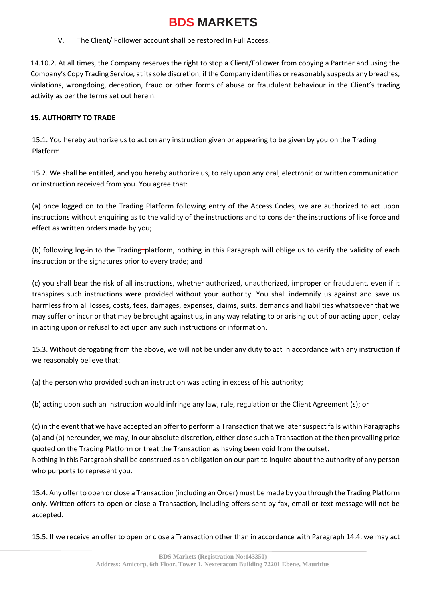V. The Client/ Follower account shall be restored In Full Access.

14.10.2. At all times, the Company reserves the right to stop a Client/Follower from copying a Partner and using the Company's Copy Trading Service, at its sole discretion, if the Company identifies or reasonably suspects any breaches, violations, wrongdoing, deception, fraud or other forms of abuse or fraudulent behaviour in the Client's trading activity as per the terms set out herein.

### **15. AUTHORITY TO TRADE**

15.1. You hereby authorize us to act on any instruction given or appearing to be given by you on the Trading Platform.

15.2. We shall be entitled, and you hereby authorize us, to rely upon any oral, electronic or written communication or instruction received from you. You agree that:

(a) once logged on to the Trading Platform following entry of the Access Codes, we are authorized to act upon instructions without enquiring as to the validity of the instructions and to consider the instructions of like force and effect as written orders made by you;

(b) following log-in to the Trading-platform, nothing in this Paragraph will oblige us to verify the validity of each instruction or the signatures prior to every trade; and

(c) you shall bear the risk of all instructions, whether authorized, unauthorized, improper or fraudulent, even if it transpires such instructions were provided without your authority. You shall indemnify us against and save us harmless from all losses, costs, fees, damages, expenses, claims, suits, demands and liabilities whatsoever that we may suffer or incur or that may be brought against us, in any way relating to or arising out of our acting upon, delay in acting upon or refusal to act upon any such instructions or information.

15.3. Without derogating from the above, we will not be under any duty to act in accordance with any instruction if we reasonably believe that:

(a) the person who provided such an instruction was acting in excess of his authority;

(b) acting upon such an instruction would infringe any law, rule, regulation or the Client Agreement (s); or

(c) in the event that we have accepted an offer to perform a Transaction that we later suspect falls within Paragraphs (a) and (b) hereunder, we may, in our absolute discretion, either close such a Transaction at the then prevailing price quoted on the Trading Platform or treat the Transaction as having been void from the outset.

Nothing in this Paragraph shall be construed as an obligation on our part to inquire about the authority of any person who purports to represent you.

15.4. Any offer to open or close a Transaction (including an Order) must be made by you through the Trading Platform only. Written offers to open or close a Transaction, including offers sent by fax, email or text message will not be accepted.

15.5. If we receive an offer to open or close a Transaction other than in accordance with Paragraph 14.4, we may act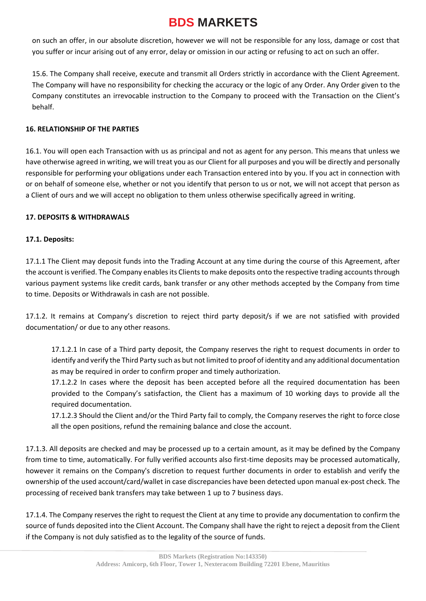on such an offer, in our absolute discretion, however we will not be responsible for any loss, damage or cost that you suffer or incur arising out of any error, delay or omission in our acting or refusing to act on such an offer.

15.6. The Company shall receive, execute and transmit all Orders strictly in accordance with the Client Agreement. The Company will have no responsibility for checking the accuracy or the logic of any Order. Any Order given to the Company constitutes an irrevocable instruction to the Company to proceed with the Transaction on the Client's behalf.

### **16. RELATIONSHIP OF THE PARTIES**

16.1. You will open each Transaction with us as principal and not as agent for any person. This means that unless we have otherwise agreed in writing, we will treat you as our Client for all purposes and you will be directly and personally responsible for performing your obligations under each Transaction entered into by you. If you act in connection with or on behalf of someone else, whether or not you identify that person to us or not, we will not accept that person as a Client of ours and we will accept no obligation to them unless otherwise specifically agreed in writing.

#### **17. DEPOSITS & WITHDRAWALS**

#### **17.1. Deposits:**

17.1.1 The Client may deposit funds into the Trading Account at any time during the course of this Agreement, after the account is verified. The Company enables its Clients to make deposits onto the respective trading accounts through various payment systems like credit cards, bank transfer or any other methods accepted by the Company from time to time. Deposits or Withdrawals in cash are not possible.

17.1.2. It remains at Company's discretion to reject third party deposit/s if we are not satisfied with provided documentation/ or due to any other reasons.

17.1.2.1 In case of a Third party deposit, the Company reserves the right to request documents in order to identify and verify the Third Party such as but not limited to proof of identity and any additional documentation as may be required in order to confirm proper and timely authorization.

17.1.2.2 In cases where the deposit has been accepted before all the required documentation has been provided to the Company's satisfaction, the Client has a maximum of 10 working days to provide all the required documentation.

17.1.2.3 Should the Client and/or the Third Party fail to comply, the Company reserves the right to force close all the open positions, refund the remaining balance and close the account.

17.1.3. All deposits are checked and may be processed up to a certain amount, as it may be defined by the Company from time to time, automatically. For fully verified accounts also first-time deposits may be processed automatically, however it remains on the Company's discretion to request further documents in order to establish and verify the ownership of the used account/card/wallet in case discrepancies have been detected upon manual ex-post check. The processing of received bank transfers may take between 1 up to 7 business days.

17.1.4. The Company reserves the right to request the Client at any time to provide any documentation to confirm the source of funds deposited into the Client Account. The Company shall have the right to reject a deposit from the Client if the Company is not duly satisfied as to the legality of the source of funds.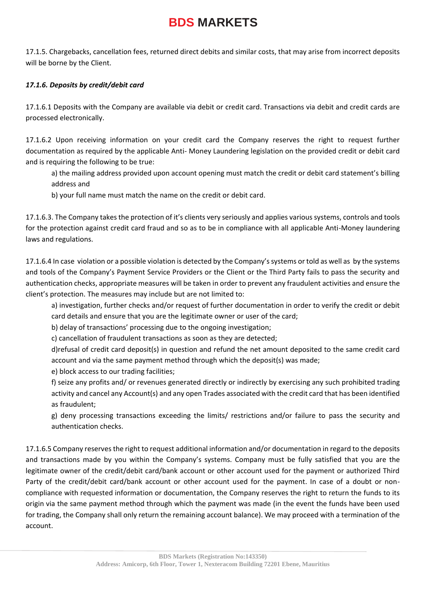17.1.5. Chargebacks, cancellation fees, returned direct debits and similar costs, that may arise from incorrect deposits will be borne by the Client.

### *17.1.6. Deposits by credit/debit card*

17.1.6.1 Deposits with the Company are available via debit or credit card. Transactions via debit and credit cards are processed electronically.

17.1.6.2 Upon receiving information on your credit card the Company reserves the right to request further documentation as required by the applicable Anti- Money Laundering legislation on the provided credit or debit card and is requiring the following to be true:

a) the mailing address provided upon account opening must match the credit or debit card statement's billing address and

b) your full name must match the name on the credit or debit card.

17.1.6.3. The Company takes the protection of it's clients very seriously and applies various systems, controls and tools for the protection against credit card fraud and so as to be in compliance with all applicable Anti-Money laundering laws and regulations.

17.1.6.4 In case violation or a possible violation is detected by the Company's systems or told as well as by the systems and tools of the Company's Payment Service Providers or the Client or the Third Party fails to pass the security and authentication checks, appropriate measures will be taken in order to prevent any fraudulent activities and ensure the client's protection. The measures may include but are not limited to:

a) investigation, further checks and/or request of further documentation in order to verify the credit or debit card details and ensure that you are the legitimate owner or user of the card;

b) delay of transactions' processing due to the ongoing investigation;

c) cancellation of fraudulent transactions as soon as they are detected;

d)refusal of credit card deposit(s) in question and refund the net amount deposited to the same credit card account and via the same payment method through which the deposit(s) was made;

e) block access to our trading facilities;

f) seize any profits and/ or revenues generated directly or indirectly by exercising any such prohibited trading activity and cancel any Account(s) and any open Trades associated with the credit card that has been identified as fraudulent;

g) deny processing transactions exceeding the limits/ restrictions and/or failure to pass the security and authentication checks.

17.1.6.5 Company reserves the right to request additional information and/or documentation in regard to the deposits and transactions made by you within the Company's systems. Company must be fully satisfied that you are the legitimate owner of the credit/debit card/bank account or other account used for the payment or authorized Third Party of the credit/debit card/bank account or other account used for the payment. In case of a doubt or noncompliance with requested information or documentation, the Company reserves the right to return the funds to its origin via the same payment method through which the payment was made (in the event the funds have been used for trading, the Company shall only return the remaining account balance). We may proceed with a termination of the account.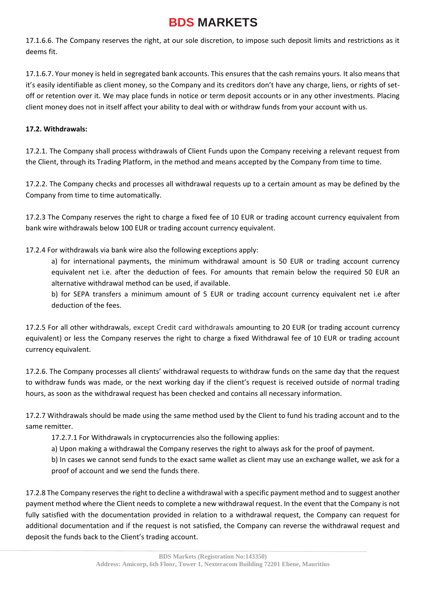17.1.6.6. The Company reserves the right, at our sole discretion, to impose such deposit limits and restrictions as it deems fit.

17.1.6.7. Your money is held in segregated bank accounts. This ensures that the cash remains yours. It also means that it's easily identifiable as client money, so the Company and its creditors don't have any charge, liens, or rights of setoff or retention over it. We may place funds in notice or term deposit accounts or in any other investments. Placing client money does not in itself affect your ability to deal with or withdraw funds from your account with us.

### **17.2. Withdrawals:**

17.2.1. The Company shall process withdrawals of Client Funds upon the Company receiving a relevant request from the Client, through its Trading Platform, in the method and means accepted by the Company from time to time.

17.2.2. The Company checks and processes all withdrawal requests up to a certain amount as may be defined by the Company from time to time automatically.

17.2.3 The Company reserves the right to charge a fixed fee of 10 EUR or trading account currency equivalent from bank wire withdrawals below 100 EUR or trading account currency equivalent.

17.2.4 For withdrawals via bank wire also the following exceptions apply:

a) for international payments, the minimum withdrawal amount is 50 EUR or trading account currency equivalent net i.e. after the deduction of fees. For amounts that remain below the required 50 EUR an alternative withdrawal method can be used, if available.

b) for SEPA transfers a minimum amount of 5 EUR or trading account currency equivalent net i.e after deduction of the fees.

17.2.5 For all other withdrawals, except Credit card withdrawals amounting to 20 EUR (or trading account currency equivalent) or less the Company reserves the right to charge a fixed Withdrawal fee of 10 EUR or trading account currency equivalent.

17.2.6. The Company processes all clients' withdrawal requests to withdraw funds on the same day that the request to withdraw funds was made, or the next working day if the client's request is received outside of normal trading hours, as soon as the withdrawal request has been checked and contains all necessary information.

17.2.7 Withdrawals should be made using the same method used by the Client to fund his trading account and to the same remitter.

17.2.7.1 For Withdrawals in cryptocurrencies also the following applies:

a) Upon making a withdrawal the Company reserves the right to always ask for the proof of payment.

b) In cases we cannot send funds to the exact same wallet as client may use an exchange wallet, we ask for a proof of account and we send the funds there.

17.2.8 The Company reserves the right to decline a withdrawal with a specific payment method and to suggest another payment method where the Client needs to complete a new withdrawal request. In the event that the Company is not fully satisfied with the documentation provided in relation to a withdrawal request, the Company can request for additional documentation and if the request is not satisfied, the Company can reverse the withdrawal request and deposit the funds back to the Client's trading account.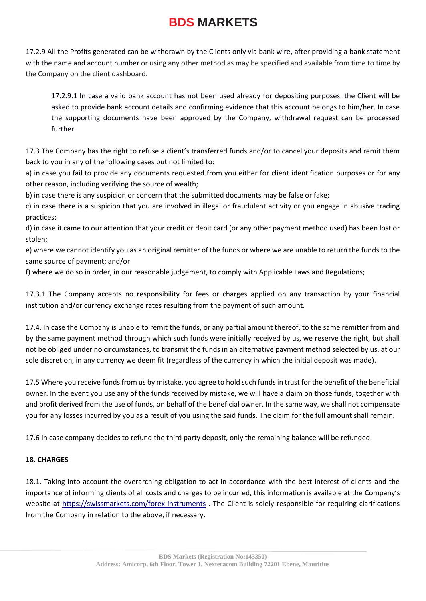17.2.9 All the Profits generated can be withdrawn by the Clients only via bank wire, after providing a bank statement with the name and account number or using any other method as may be specified and available from time to time by the Company on the client dashboard.

17.2.9.1 In case a valid bank account has not been used already for depositing purposes, the Client will be asked to provide bank account details and confirming evidence that this account belongs to him/her. In case the supporting documents have been approved by the Company, withdrawal request can be processed further.

17.3 The Company has the right to refuse a client's transferred funds and/or to cancel your deposits and remit them back to you in any of the following cases but not limited to:

a) in case you fail to provide any documents requested from you either for client identification purposes or for any other reason, including verifying the source of wealth;

b) in case there is any suspicion or concern that the submitted documents may be false or fake;

c) in case there is a suspicion that you are involved in illegal or fraudulent activity or you engage in abusive trading practices;

d) in case it came to our attention that your credit or debit card (or any other payment method used) has been lost or stolen;

e) where we cannot identify you as an original remitter of the funds or where we are unable to return the funds to the same source of payment; and/or

f) where we do so in order, in our reasonable judgement, to comply with Applicable Laws and Regulations;

17.3.1 The Company accepts no responsibility for fees or charges applied on any transaction by your financial institution and/or currency exchange rates resulting from the payment of such amount.

17.4. In case the Company is unable to remit the funds, or any partial amount thereof, to the same remitter from and by the same payment method through which such funds were initially received by us, we reserve the right, but shall not be obliged under no circumstances, to transmit the funds in an alternative payment method selected by us, at our sole discretion, in any currency we deem fit (regardless of the currency in which the initial deposit was made).

17.5 Where you receive funds from us by mistake, you agree to hold such funds in trust for the benefit of the beneficial owner. In the event you use any of the funds received by mistake, we will have a claim on those funds, together with and profit derived from the use of funds, on behalf of the beneficial owner. In the same way, we shall not compensate you for any losses incurred by you as a result of you using the said funds. The claim for the full amount shall remain.

17.6 In case company decides to refund the third party deposit, only the remaining balance will be refunded.

#### **18. CHARGES**

18.1. Taking into account the overarching obligation to act in accordance with the best interest of clients and the importance of informing clients of all costs and charges to be incurred, this information is available at the Company's website at<https://swissmarkets.com/forex-instruments> . The Client is solely responsible for requiring clarifications from the Company in relation to the above, if necessary.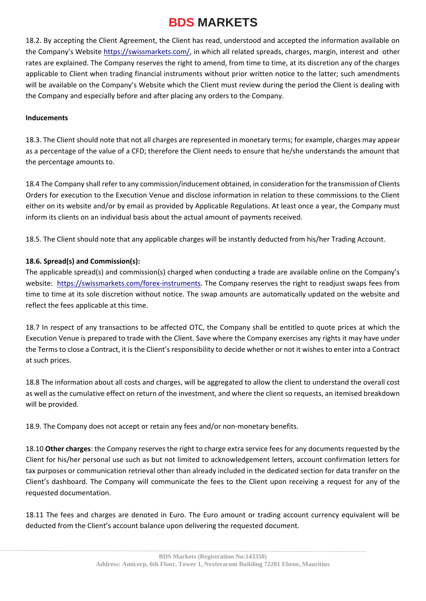18.2. By accepting the Client Agreement, the Client has read, understood and accepted the information available on the Company's Website [https://swissmarkets.com/,](https://swissmarkets.com/) in which all related spreads, charges, margin, interest and other rates are explained. The Company reserves the right to amend, from time to time, at its discretion any of the charges applicable to Client when trading financial instruments without prior written notice to the latter; such amendments will be available on the Company's Website which the Client must review during the period the Client is dealing with the Company and especially before and after placing any orders to the Company.

#### **Inducements**

18.3. The Client should note that not all charges are represented in monetary terms; for example, charges may appear as a percentage of the value of a CFD; therefore the Client needs to ensure that he/she understands the amount that the percentage amounts to.

18.4 The Company shall refer to any commission/inducement obtained, in consideration for the transmission of Clients Orders for execution to the Execution Venue and disclose information in relation to these commissions to the Client either on its website and/or by email as provided by Applicable Regulations. At least once a year, the Company must inform its clients on an individual basis about the actual amount of payments received.

18.5. The Client should note that any applicable charges will be instantly deducted from his/her Trading Account.

#### **18.6. Spread(s) and Commission(s):**

The applicable spread(s) and commission(s) charged when conducting a trade are available online on the Company's website: [https://swissmarkets.com/forex-instruments.](https://swissmarkets.com/forex-instruments) The Company reserves the right to readjust swaps fees from time to time at its sole discretion without notice. The swap amounts are automatically updated on the website and reflect the fees applicable at this time.

18.7 In respect of any transactions to be affected OTC, the Company shall be entitled to quote prices at which the Execution Venue is prepared to trade with the Client. Save where the Company exercises any rights it may have under the Terms to close a Contract, it is the Client's responsibility to decide whether or not it wishes to enter into a Contract at such prices.

18.8 The information about all costs and charges, will be aggregated to allow the client to understand the overall cost as well as the cumulative effect on return of the investment, and where the client so requests, an itemised breakdown will be provided.

18.9. The Company does not accept or retain any fees and/or non-monetary benefits.

18.10 **Other charges**: the Company reserves the right to charge extra service fees for any documents requested by the Client for his/her personal use such as but not limited to acknowledgement letters, account confirmation letters for tax purposes or communication retrieval other than already included in the dedicated section for data transfer on the Client's dashboard. The Company will communicate the fees to the Client upon receiving a request for any of the requested documentation.

18.11 The fees and charges are denoted in Euro. The Euro amount or trading account currency equivalent will be deducted from the Client's account balance upon delivering the requested document.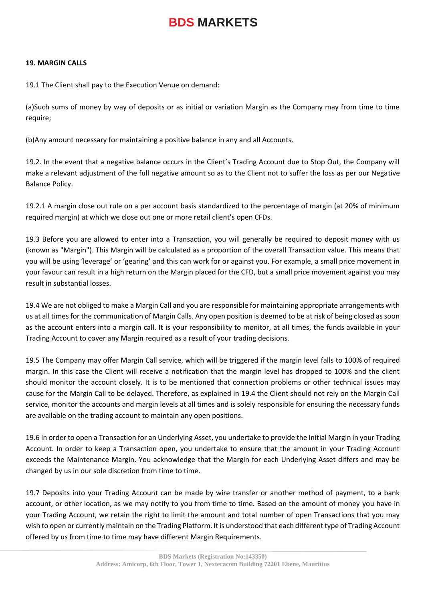#### **19. MARGIN CALLS**

19.1 The Client shall pay to the Execution Venue on demand:

(a)Such sums of money by way of deposits or as initial or variation Margin as the Company may from time to time require;

(b)Any amount necessary for maintaining a positive balance in any and all Accounts.

19.2. In the event that a negative balance occurs in the Client's Trading Account due to Stop Out, the Company will make a relevant adjustment of the full negative amount so as to the Client not to suffer the loss as per our Negative Balance Policy.

19.2.1 A margin close out rule on a per account basis standardized to the percentage of margin (at 20% of minimum required margin) at which we close out one or more retail client's open CFDs.

19.3 Before you are allowed to enter into a Transaction, you will generally be required to deposit money with us (known as "Margin"). This Margin will be calculated as a proportion of the overall Transaction value. This means that you will be using 'leverage' or 'gearing' and this can work for or against you. For example, a small price movement in your favour can result in a high return on the Margin placed for the CFD, but a small price movement against you may result in substantial losses.

19.4 We are not obliged to make a Margin Call and you are responsible for maintaining appropriate arrangements with us at all times for the communication of Margin Calls. Any open position is deemed to be at risk of being closed as soon as the account enters into a margin call. It is your responsibility to monitor, at all times, the funds available in your Trading Account to cover any Margin required as a result of your trading decisions.

19.5 The Company may offer Margin Call service, which will be triggered if the margin level falls to 100% of required margin. In this case the Client will receive a notification that the margin level has dropped to 100% and the client should monitor the account closely. It is to be mentioned that connection problems or other technical issues may cause for the Margin Call to be delayed. Therefore, as explained in 19.4 the Client should not rely on the Margin Call service, monitor the accounts and margin levels at all times and is solely responsible for ensuring the necessary funds are available on the trading account to maintain any open positions.

19.6 In order to open a Transaction for an Underlying Asset, you undertake to provide the Initial Margin in your Trading Account. In order to keep a Transaction open, you undertake to ensure that the amount in your Trading Account exceeds the Maintenance Margin. You acknowledge that the Margin for each Underlying Asset differs and may be changed by us in our sole discretion from time to time.

19.7 Deposits into your Trading Account can be made by wire transfer or another method of payment, to a bank account, or other location, as we may notify to you from time to time. Based on the amount of money you have in your Trading Account, we retain the right to limit the amount and total number of open Transactions that you may wish to open or currently maintain on the Trading Platform. It is understood that each different type of Trading Account offered by us from time to time may have different Margin Requirements.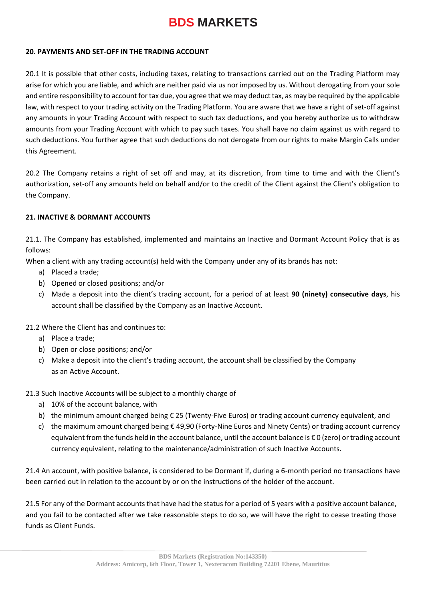#### **20. PAYMENTS AND SET-OFF IN THE TRADING ACCOUNT**

20.1 It is possible that other costs, including taxes, relating to transactions carried out on the Trading Platform may arise for which you are liable, and which are neither paid via us nor imposed by us. Without derogating from your sole and entire responsibility to account for tax due, you agree that we may deduct tax, as may be required by the applicable law, with respect to your trading activity on the Trading Platform. You are aware that we have a right of set-off against any amounts in your Trading Account with respect to such tax deductions, and you hereby authorize us to withdraw amounts from your Trading Account with which to pay such taxes. You shall have no claim against us with regard to such deductions. You further agree that such deductions do not derogate from our rights to make Margin Calls under this Agreement.

20.2 The Company retains a right of set off and may, at its discretion, from time to time and with the Client's authorization, set-off any amounts held on behalf and/or to the credit of the Client against the Client's obligation to the Company.

#### **21. INACTIVE & DORMANT ACCOUNTS**

21.1. The Company has established, implemented and maintains an Inactive and Dormant Account Policy that is as follows:

When a client with any trading account(s) held with the Company under any of its brands has not:

- a) Placed a trade;
- b) Opened or closed positions; and/or
- c) Made a deposit into the client's trading account, for a period of at least **90 (ninety) consecutive days**, his account shall be classified by the Company as an Inactive Account.

21.2 Where the Client has and continues to:

- a) Place a trade;
- b) Open or close positions; and/or
- c) Make a deposit into the client's trading account, the account shall be classified by the Company as an Active Account.

#### 21.3 Such Inactive Accounts will be subject to a monthly charge of

- a) 10% of the account balance, with
- b) the minimum amount charged being € 25 (Twenty-Five Euros) or trading account currency equivalent, and
- c) the maximum amount charged being € 49,90 (Forty-Nine Euros and Ninety Cents) or trading account currency equivalent from the funds held in the account balance, until the account balance is € 0 (zero) or trading account currency equivalent, relating to the maintenance/administration of such Inactive Accounts.

21.4 An account, with positive balance, is considered to be Dormant if, during a 6-month period no transactions have been carried out in relation to the account by or on the instructions of the holder of the account.

21.5 For any of the Dormant accounts that have had the status for a period of 5 years with a positive account balance, and you fail to be contacted after we take reasonable steps to do so, we will have the right to cease treating those funds as Client Funds.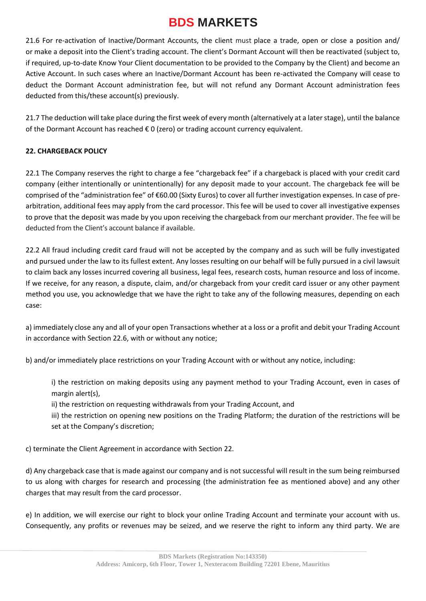21.6 For re-activation of Inactive/Dormant Accounts, the client must place a trade, open or close a position and/ or make a deposit into the Client's trading account. The client's Dormant Account will then be reactivated (subject to, if required, up-to-date Know Your Client documentation to be provided to the Company by the Client) and become an Active Account. In such cases where an Inactive/Dormant Account has been re-activated the Company will cease to deduct the Dormant Account administration fee, but will not refund any Dormant Account administration fees deducted from this/these account(s) previously.

21.7 The deduction will take place during the first week of every month (alternatively at a later stage), until the balance of the Dormant Account has reached  $\epsilon$  0 (zero) or trading account currency equivalent.

### **22. CHARGEBACK POLICY**

22.1 The Company reserves the right to charge a fee "chargeback fee" if a chargeback is placed with your credit card company (either intentionally or unintentionally) for any deposit made to your account. The chargeback fee will be comprised of the "administration fee" of €60.00 (Sixty Euros) to cover all further investigation expenses. In case of prearbitration, additional fees may apply from the card processor. This fee will be used to cover all investigative expenses to prove that the deposit was made by you upon receiving the chargeback from our merchant provider. The fee will be deducted from the Client's account balance if available.

22.2 All fraud including credit card fraud will not be accepted by the company and as such will be fully investigated and pursued under the law to its fullest extent. Any losses resulting on our behalf will be fully pursued in a civil lawsuit to claim back any losses incurred covering all business, legal fees, research costs, human resource and loss of income. If we receive, for any reason, a dispute, claim, and/or chargeback from your credit card issuer or any other payment method you use, you acknowledge that we have the right to take any of the following measures, depending on each case:

a) immediately close any and all of your open Transactions whether at a loss or a profit and debit your Trading Account in accordance with Section 22.6, with or without any notice;

b) and/or immediately place restrictions on your Trading Account with or without any notice, including:

i) the restriction on making deposits using any payment method to your Trading Account, even in cases of margin alert(s),

ii) the restriction on requesting withdrawals from your Trading Account, and

iii) the restriction on opening new positions on the Trading Platform; the duration of the restrictions will be set at the Company's discretion;

c) terminate the Client Agreement in accordance with Section 22.

d) Any chargeback case that is made against our company and is not successful will result in the sum being reimbursed to us along with charges for research and processing (the administration fee as mentioned above) and any other charges that may result from the card processor.

e) In addition, we will exercise our right to block your online Trading Account and terminate your account with us. Consequently, any profits or revenues may be seized, and we reserve the right to inform any third party. We are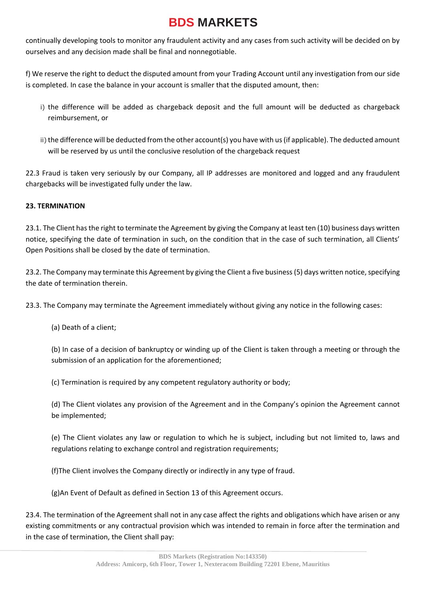continually developing tools to monitor any fraudulent activity and any cases from such activity will be decided on by ourselves and any decision made shall be final and nonnegotiable.

f) We reserve the right to deduct the disputed amount from your Trading Account until any investigation from our side is completed. In case the balance in your account is smaller that the disputed amount, then:

- i) the difference will be added as chargeback deposit and the full amount will be deducted as chargeback reimbursement, or
- ii) the difference will be deducted from the other account(s) you have with us (if applicable). The deducted amount will be reserved by us until the conclusive resolution of the chargeback request

22.3 Fraud is taken very seriously by our Company, all IP addresses are monitored and logged and any fraudulent chargebacks will be investigated fully under the law.

### **23. TERMINATION**

23.1. The Client has the right to terminate the Agreement by giving the Company at least ten (10) business days written notice, specifying the date of termination in such, on the condition that in the case of such termination, all Clients' Open Positions shall be closed by the date of termination.

23.2. The Company may terminate this Agreement by giving the Client a five business (5) days written notice, specifying the date of termination therein.

23.3. The Company may terminate the Agreement immediately without giving any notice in the following cases:

(a) Death of a client;

(b) In case of a decision of bankruptcy or winding up of the Client is taken through a meeting or through the submission of an application for the aforementioned;

(c) Termination is required by any competent regulatory authority or body;

(d) The Client violates any provision of the Agreement and in the Company's opinion the Agreement cannot be implemented;

(e) The Client violates any law or regulation to which he is subject, including but not limited to, laws and regulations relating to exchange control and registration requirements;

(f)The Client involves the Company directly or indirectly in any type of fraud.

(g)An Event of Default as defined in Section 13 of this Agreement occurs.

23.4. The termination of the Agreement shall not in any case affect the rights and obligations which have arisen or any existing commitments or any contractual provision which was intended to remain in force after the termination and in the case of termination, the Client shall pay: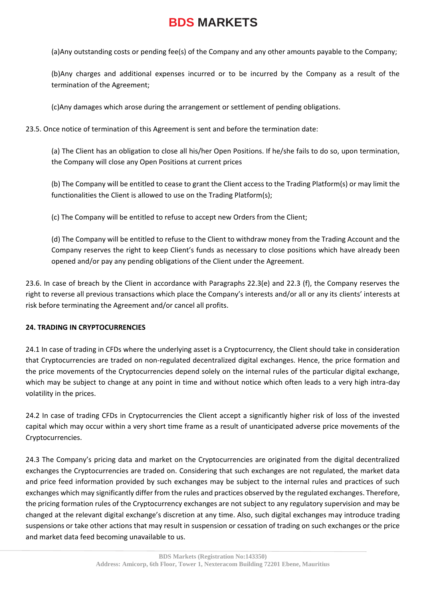(a)Any outstanding costs or pending fee(s) of the Company and any other amounts payable to the Company;

(b)Any charges and additional expenses incurred or to be incurred by the Company as a result of the termination of the Agreement;

(c)Any damages which arose during the arrangement or settlement of pending obligations.

23.5. Once notice of termination of this Agreement is sent and before the termination date:

(a) The Client has an obligation to close all his/her Open Positions. If he/she fails to do so, upon termination, the Company will close any Open Positions at current prices

(b) The Company will be entitled to cease to grant the Client access to the Trading Platform(s) or may limit the functionalities the Client is allowed to use on the Trading Platform(s);

(c) The Company will be entitled to refuse to accept new Orders from the Client;

(d) The Company will be entitled to refuse to the Client to withdraw money from the Trading Account and the Company reserves the right to keep Client's funds as necessary to close positions which have already been opened and/or pay any pending obligations of the Client under the Agreement.

23.6. In case of breach by the Client in accordance with Paragraphs 22.3(e) and 22.3 (f), the Company reserves the right to reverse all previous transactions which place the Company's interests and/or all or any its clients' interests at risk before terminating the Agreement and/or cancel all profits.

#### **24. TRADING IN CRYPTOCURRENCIES**

24.1 In case of trading in CFDs where the underlying asset is a Cryptocurrency, the Client should take in consideration that Cryptocurrencies are traded on non-regulated decentralized digital exchanges. Hence, the price formation and the price movements of the Cryptocurrencies depend solely on the internal rules of the particular digital exchange, which may be subject to change at any point in time and without notice which often leads to a very high intra-day volatility in the prices.

24.2 In case of trading CFDs in Cryptocurrencies the Client accept a significantly higher risk of loss of the invested capital which may occur within a very short time frame as a result of unanticipated adverse price movements of the Cryptocurrencies.

24.3 The Company's pricing data and market on the Cryptocurrencies are originated from the digital decentralized exchanges the Cryptocurrencies are traded on. Considering that such exchanges are not regulated, the market data and price feed information provided by such exchanges may be subject to the internal rules and practices of such exchanges which may significantly differ from the rules and practices observed by the regulated exchanges. Therefore, the pricing formation rules of the Cryptocurrency exchanges are not subject to any regulatory supervision and may be changed at the relevant digital exchange's discretion at any time. Also, such digital exchanges may introduce trading suspensions or take other actions that may result in suspension or cessation of trading on such exchanges or the price and market data feed becoming unavailable to us.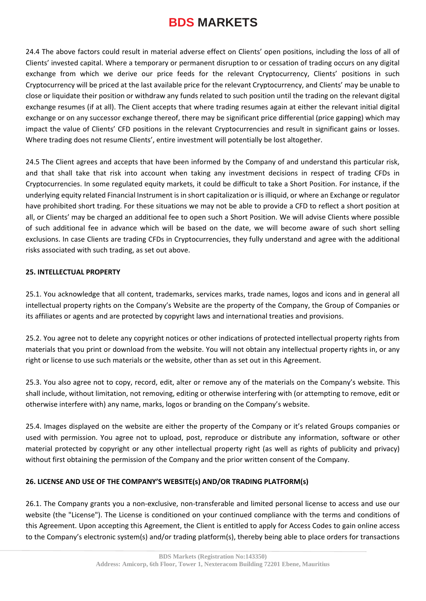24.4 The above factors could result in material adverse effect on Clients' open positions, including the loss of all of Clients' invested capital. Where a temporary or permanent disruption to or cessation of trading occurs on any digital exchange from which we derive our price feeds for the relevant Cryptocurrency, Clients' positions in such Cryptocurrency will be priced at the last available price for the relevant Cryptocurrency, and Clients' may be unable to close or liquidate their position or withdraw any funds related to such position until the trading on the relevant digital exchange resumes (if at all). The Client accepts that where trading resumes again at either the relevant initial digital exchange or on any successor exchange thereof, there may be significant price differential (price gapping) which may impact the value of Clients' CFD positions in the relevant Cryptocurrencies and result in significant gains or losses. Where trading does not resume Clients', entire investment will potentially be lost altogether.

24.5 The Client agrees and accepts that have been informed by the Company of and understand this particular risk, and that shall take that risk into account when taking any investment decisions in respect of trading CFDs in Cryptocurrencies. In some regulated equity markets, it could be difficult to take a Short Position. For instance, if the underlying equity related Financial Instrument is in short capitalization or is illiquid, or where an Exchange or regulator have prohibited short trading. For these situations we may not be able to provide a CFD to reflect a short position at all, or Clients' may be charged an additional fee to open such a Short Position. We will advise Clients where possible of such additional fee in advance which will be based on the date, we will become aware of such short selling exclusions. In case Clients are trading CFDs in Cryptocurrencies, they fully understand and agree with the additional risks associated with such trading, as set out above.

#### **25. INTELLECTUAL PROPERTY**

25.1. You acknowledge that all content, trademarks, services marks, trade names, logos and icons and in general all intellectual property rights on the Company's Website are the property of the Company, the Group of Companies or its affiliates or agents and are protected by copyright laws and international treaties and provisions.

25.2. You agree not to delete any copyright notices or other indications of protected intellectual property rights from materials that you print or download from the website. You will not obtain any intellectual property rights in, or any right or license to use such materials or the website, other than as set out in this Agreement.

25.3. You also agree not to copy, record, edit, alter or remove any of the materials on the Company's website. This shall include, without limitation, not removing, editing or otherwise interfering with (or attempting to remove, edit or otherwise interfere with) any name, marks, logos or branding on the Company's website.

25.4. Images displayed on the website are either the property of the Company or it's related Groups companies or used with permission. You agree not to upload, post, reproduce or distribute any information, software or other material protected by copyright or any other intellectual property right (as well as rights of publicity and privacy) without first obtaining the permission of the Company and the prior written consent of the Company.

#### **26. LICENSE AND USE OF THE COMPANY'S WEBSITE(s) AND/OR TRADING PLATFORM(s)**

26.1. The Company grants you a non-exclusive, non-transferable and limited personal license to access and use our website (the "License"). The License is conditioned on your continued compliance with the terms and conditions of this Agreement. Upon accepting this Agreement, the Client is entitled to apply for Access Codes to gain online access to the Company's electronic system(s) and/or trading platform(s), thereby being able to place orders for transactions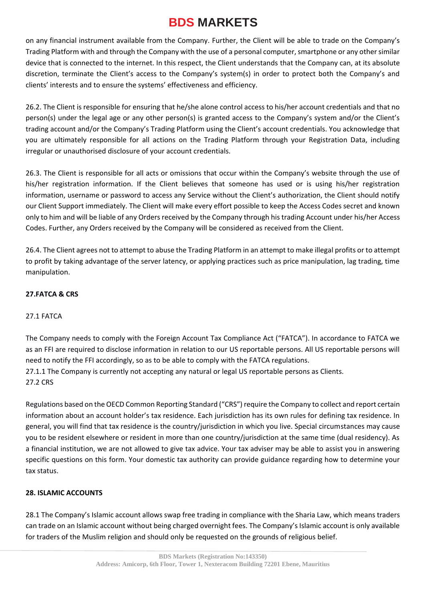on any financial instrument available from the Company. Further, the Client will be able to trade on the Company's Trading Platform with and through the Company with the use of a personal computer, smartphone or any other similar device that is connected to the internet. In this respect, the Client understands that the Company can, at its absolute discretion, terminate the Client's access to the Company's system(s) in order to protect both the Company's and clients' interests and to ensure the systems' effectiveness and efficiency.

26.2. The Client is responsible for ensuring that he/she alone control access to his/her account credentials and that no person(s) under the legal age or any other person(s) is granted access to the Company's system and/or the Client's trading account and/or the Company's Trading Platform using the Client's account credentials. You acknowledge that you are ultimately responsible for all actions on the Trading Platform through your Registration Data, including irregular or unauthorised disclosure of your account credentials.

26.3. The Client is responsible for all acts or omissions that occur within the Company's website through the use of his/her registration information. If the Client believes that someone has used or is using his/her registration information, username or password to access any Service without the Client's authorization, the Client should notify our Client Support immediately. The Client will make every effort possible to keep the Access Codes secret and known only to him and will be liable of any Orders received by the Company through his trading Account under his/her Access Codes. Further, any Orders received by the Company will be considered as received from the Client.

26.4. The Client agrees not to attempt to abuse the Trading Platform in an attempt to make illegal profits or to attempt to profit by taking advantage of the server latency, or applying practices such as price manipulation, lag trading, time manipulation.

### **27.FATCA & CRS**

#### 27.1 FATCA

The Company needs to comply with the Foreign Account Tax Compliance Act ("FATCA"). In accordance to FATCA we as an FFI are required to disclose information in relation to our US reportable persons. All US reportable persons will need to notify the FFI accordingly, so as to be able to comply with the FATCA regulations. 27.1.1 The Company is currently not accepting any natural or legal US reportable persons as Clients.

27.2 CRS

Regulations based on the OECD Common Reporting Standard ("CRS") require the Company to collect and report certain information about an account holder's tax residence. Each jurisdiction has its own rules for defining tax residence. In general, you will find that tax residence is the country/jurisdiction in which you live. Special circumstances may cause you to be resident elsewhere or resident in more than one country/jurisdiction at the same time (dual residency). As a financial institution, we are not allowed to give tax advice. Your tax adviser may be able to assist you in answering specific questions on this form. Your domestic tax authority can provide guidance regarding how to determine your tax status.

### **28. ISLAMIC ACCOUNTS**

28.1 The Company's Islamic account allows swap free trading in compliance with the Sharia Law, which means traders can trade on an Islamic account without being charged overnight fees. The Company's Islamic account is only available for traders of the Muslim religion and should only be requested on the grounds of religious belief.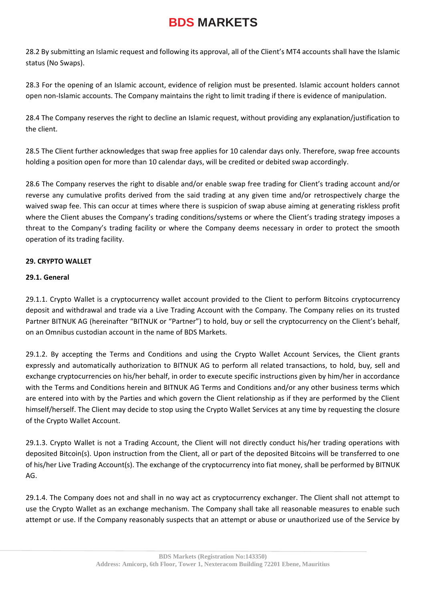28.2 By submitting an Islamic request and following its approval, all of the Client's MT4 accounts shall have the Islamic status (No Swaps).

28.3 For the opening of an Islamic account, evidence of religion must be presented. Islamic account holders cannot open non-Islamic accounts. The Company maintains the right to limit trading if there is evidence of manipulation.

28.4 The Company reserves the right to decline an Islamic request, without providing any explanation/justification to the client.

28.5 The Client further acknowledges that swap free applies for 10 calendar days only. Therefore, swap free accounts holding a position open for more than 10 calendar days, will be credited or debited swap accordingly.

28.6 The Company reserves the right to disable and/or enable swap free trading for Client's trading account and/or reverse any cumulative profits derived from the said trading at any given time and/or retrospectively charge the waived swap fee. This can occur at times where there is suspicion of swap abuse aiming at generating riskless profit where the Client abuses the Company's trading conditions/systems or where the Client's trading strategy imposes a threat to the Company's trading facility or where the Company deems necessary in order to protect the smooth operation of its trading facility.

#### **29. CRYPTO WALLET**

#### **29.1. General**

29.1.1. Crypto Wallet is a cryptocurrency wallet account provided to the Client to perform Bitcoins cryptocurrency deposit and withdrawal and trade via a Live Trading Account with the Company. The Company relies on its trusted Partner BITNUK AG (hereinafter "BITNUK or "Partner") to hold, buy or sell the cryptocurrency on the Client's behalf, on an Omnibus custodian account in the name of BDS Markets.

29.1.2. By accepting the Terms and Conditions and using the Crypto Wallet Account Services, the Client grants expressly and automatically authorization to BITNUK AG to perform all related transactions, to hold, buy, sell and exchange cryptocurrencies on his/her behalf, in order to execute specific instructions given by him/her in accordance with the Terms and Conditions herein and BITNUK AG Terms and Conditions and/or any other business terms which are entered into with by the Parties and which govern the Client relationship as if they are performed by the Client himself/herself. The Client may decide to stop using the Crypto Wallet Services at any time by requesting the closure of the Crypto Wallet Account.

29.1.3. Crypto Wallet is not a Trading Account, the Client will not directly conduct his/her trading operations with deposited Bitcoin(s). Upon instruction from the Client, all or part of the deposited Bitcoins will be transferred to one of his/her Live Trading Account(s). The exchange of the cryptocurrency into fiat money, shall be performed by BITNUK AG.

29.1.4. The Company does not and shall in no way act as cryptocurrency exchanger. The Client shall not attempt to use the Crypto Wallet as an exchange mechanism. The Company shall take all reasonable measures to enable such attempt or use. If the Company reasonably suspects that an attempt or abuse or unauthorized use of the Service by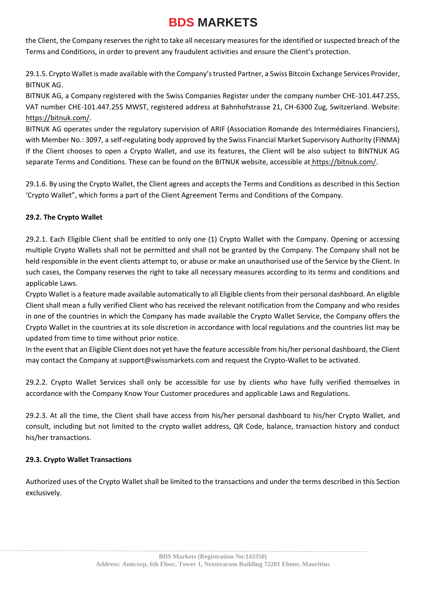the Client, the Company reserves the right to take all necessary measures for the identified or suspected breach of the Terms and Conditions, in order to prevent any fraudulent activities and ensure the Client's protection.

29.1.5. Crypto Wallet is made available with the Company's trusted Partner, a Swiss Bitcoin Exchange Services Provider, BITNUK AG.

BITNUK AG, a Company registered with the Swiss Companies Register under the company number CHE-101.447.255, VAT number CHE-101.447.255 MWST, registered address at Bahnhofstrasse 21, CH-6300 Zug, Switzerland. Website[:](https://bitnuk.com/) [https://bitnuk.com/.](https://bitnuk.com/)

BITNUK AG operates under the regulatory supervision of ARIF (Association Romande des Intermédiaires Financiers), with Member No.: 3097, a self-regulating body approved by the Swiss Financial Market Supervisory Authority (FINMA) If the Client chooses to open a Crypto Wallet, and use its features, the Client will be also subject to BINTNUK AG separate Terms and Conditions. These can be found on the BITNUK website, accessible a[t](https://bitnuk.com/) [https://bitnuk.com/.](https://bitnuk.com/)

29.1.6. By using the Crypto Wallet, the Client agrees and accepts the Terms and Conditions as described in this Section 'Crypto Wallet", which forms a part of the Client Agreement Terms and Conditions of the Company.

### **29.2. The Crypto Wallet**

29.2.1. Each Eligible Client shall be entitled to only one (1) Crypto Wallet with the Company. Opening or accessing multiple Crypto Wallets shall not be permitted and shall not be granted by the Company. The Company shall not be held responsible in the event clients attempt to, or abuse or make an unauthorised use of the Service by the Client. In such cases, the Company reserves the right to take all necessary measures according to its terms and conditions and applicable Laws.

Crypto Wallet is a feature made available automatically to all Eligible clients from their personal dashboard. An eligible Client shall mean a fully verified Client who has received the relevant notification from the Company and who resides in one of the countries in which the Company has made available the Crypto Wallet Service, the Company offers the Crypto Wallet in the countries at its sole discretion in accordance with local regulations and the countries list may be updated from time to time without prior notice.

In the event that an Eligible Client does not yet have the feature accessible from his/her personal dashboard, the Client may contact the Company at support@swissmarkets.com and request the Crypto-Wallet to be activated.

29.2.2. Crypto Wallet Services shall only be accessible for use by clients who have fully verified themselves in accordance with the Company Know Your Customer procedures and applicable Laws and Regulations.

29.2.3. At all the time, the Client shall have access from his/her personal dashboard to his/her Crypto Wallet, and consult, including but not limited to the crypto wallet address, QR Code, balance, transaction history and conduct his/her transactions.

### **29.3. Crypto Wallet Transactions**

Authorized uses of the Crypto Wallet shall be limited to the transactions and under the terms described in this Section exclusively.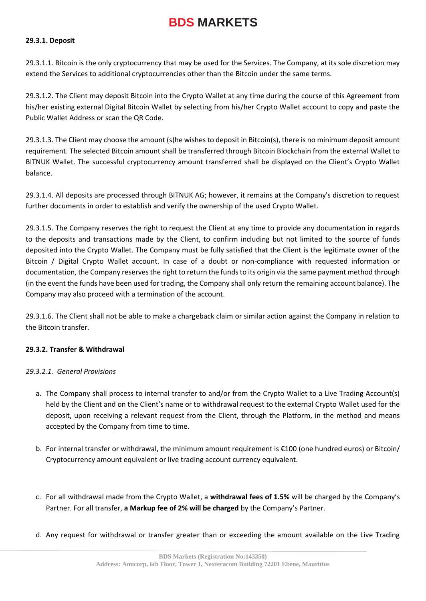#### **29.3.1. Deposit**

29.3.1.1. Bitcoin is the only cryptocurrency that may be used for the Services. The Company, at its sole discretion may extend the Services to additional cryptocurrencies other than the Bitcoin under the same terms.

29.3.1.2. The Client may deposit Bitcoin into the Crypto Wallet at any time during the course of this Agreement from his/her existing external Digital Bitcoin Wallet by selecting from his/her Crypto Wallet account to copy and paste the Public Wallet Address or scan the QR Code.

29.3.1.3. The Client may choose the amount (s)he wishes to deposit in Bitcoin(s), there is no minimum deposit amount requirement. The selected Bitcoin amount shall be transferred through Bitcoin Blockchain from the external Wallet to BITNUK Wallet. The successful cryptocurrency amount transferred shall be displayed on the Client's Crypto Wallet balance.

29.3.1.4. All deposits are processed through BITNUK AG; however, it remains at the Company's discretion to request further documents in order to establish and verify the ownership of the used Crypto Wallet.

29.3.1.5. The Company reserves the right to request the Client at any time to provide any documentation in regards to the deposits and transactions made by the Client, to confirm including but not limited to the source of funds deposited into the Crypto Wallet. The Company must be fully satisfied that the Client is the legitimate owner of the Bitcoin / Digital Crypto Wallet account. In case of a doubt or non-compliance with requested information or documentation, the Company reserves the right to return the funds to its origin via the same payment method through (in the event the funds have been used for trading, the Company shall only return the remaining account balance). The Company may also proceed with a termination of the account.

29.3.1.6. The Client shall not be able to make a chargeback claim or similar action against the Company in relation to the Bitcoin transfer.

#### **29.3.2. Transfer & Withdrawal**

#### *29.3.2.1. General Provisions*

- a. The Company shall process to internal transfer to and/or from the Crypto Wallet to a Live Trading Account(s) held by the Client and on the Client's name or to withdrawal request to the external Crypto Wallet used for the deposit, upon receiving a relevant request from the Client, through the Platform, in the method and means accepted by the Company from time to time.
- b. For internal transfer or withdrawal, the minimum amount requirement is €100 (one hundred euros) or Bitcoin/ Cryptocurrency amount equivalent or live trading account currency equivalent.
- c. For all withdrawal made from the Crypto Wallet, a **withdrawal fees of 1.5%** will be charged by the Company's Partner. For all transfer, **a Markup fee of 2% will be charged** by the Company's Partner.
- d. Any request for withdrawal or transfer greater than or exceeding the amount available on the Live Trading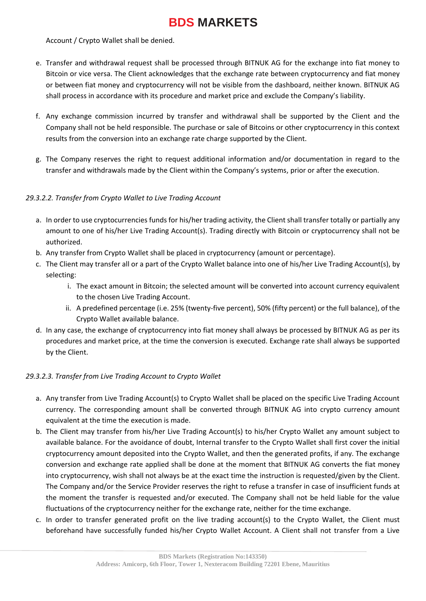Account / Crypto Wallet shall be denied.

- e. Transfer and withdrawal request shall be processed through BITNUK AG for the exchange into fiat money to Bitcoin or vice versa. The Client acknowledges that the exchange rate between cryptocurrency and fiat money or between fiat money and cryptocurrency will not be visible from the dashboard, neither known. BITNUK AG shall process in accordance with its procedure and market price and exclude the Company's liability.
- f. Any exchange commission incurred by transfer and withdrawal shall be supported by the Client and the Company shall not be held responsible. The purchase or sale of Bitcoins or other cryptocurrency in this context results from the conversion into an exchange rate charge supported by the Client.
- g. The Company reserves the right to request additional information and/or documentation in regard to the transfer and withdrawals made by the Client within the Company's systems, prior or after the execution.

### *29.3.2.2. Transfer from Crypto Wallet to Live Trading Account*

- a. In order to use cryptocurrencies funds for his/her trading activity, the Client shall transfer totally or partially any amount to one of his/her Live Trading Account(s). Trading directly with Bitcoin or cryptocurrency shall not be authorized.
- b. Any transfer from Crypto Wallet shall be placed in cryptocurrency (amount or percentage).
- c. The Client may transfer all or a part of the Crypto Wallet balance into one of his/her Live Trading Account(s), by selecting:
	- i. The exact amount in Bitcoin; the selected amount will be converted into account currency equivalent to the chosen Live Trading Account.
	- ii. A predefined percentage (i.e. 25% (twenty-five percent), 50% (fifty percent) or the full balance), of the Crypto Wallet available balance.
- d. In any case, the exchange of cryptocurrency into fiat money shall always be processed by BITNUK AG as per its procedures and market price, at the time the conversion is executed. Exchange rate shall always be supported by the Client.

### *29.3.2.3. Transfer from Live Trading Account to Crypto Wallet*

- a. Any transfer from Live Trading Account(s) to Crypto Wallet shall be placed on the specific Live Trading Account currency. The corresponding amount shall be converted through BITNUK AG into crypto currency amount equivalent at the time the execution is made.
- b. The Client may transfer from his/her Live Trading Account(s) to his/her Crypto Wallet any amount subject to available balance. For the avoidance of doubt, Internal transfer to the Crypto Wallet shall first cover the initial cryptocurrency amount deposited into the Crypto Wallet, and then the generated profits, if any. The exchange conversion and exchange rate applied shall be done at the moment that BITNUK AG converts the fiat money into cryptocurrency, wish shall not always be at the exact time the instruction is requested/given by the Client. The Company and/or the Service Provider reserves the right to refuse a transfer in case of insufficient funds at the moment the transfer is requested and/or executed. The Company shall not be held liable for the value fluctuations of the cryptocurrency neither for the exchange rate, neither for the time exchange.
- c. In order to transfer generated profit on the live trading account(s) to the Crypto Wallet, the Client must beforehand have successfully funded his/her Crypto Wallet Account. A Client shall not transfer from a Live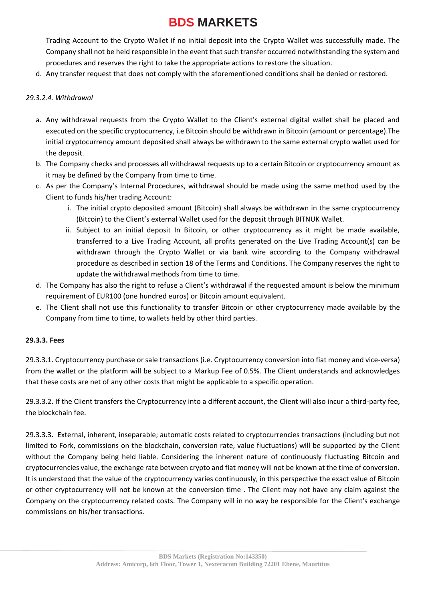Trading Account to the Crypto Wallet if no initial deposit into the Crypto Wallet was successfully made. The Company shall not be held responsible in the event that such transfer occurred notwithstanding the system and procedures and reserves the right to take the appropriate actions to restore the situation.

d. Any transfer request that does not comply with the aforementioned conditions shall be denied or restored.

### *29.3.2.4. Withdrawal*

- a. Any withdrawal requests from the Crypto Wallet to the Client's external digital wallet shall be placed and executed on the specific cryptocurrency, i.e Bitcoin should be withdrawn in Bitcoin (amount or percentage).The initial cryptocurrency amount deposited shall always be withdrawn to the same external crypto wallet used for the deposit.
- b. The Company checks and processes all withdrawal requests up to a certain Bitcoin or cryptocurrency amount as it may be defined by the Company from time to time.
- c. As per the Company's Internal Procedures, withdrawal should be made using the same method used by the Client to funds his/her trading Account:
	- i. The initial crypto deposited amount (Bitcoin) shall always be withdrawn in the same cryptocurrency (Bitcoin) to the Client's external Wallet used for the deposit through BITNUK Wallet.
	- ii. Subject to an initial deposit In Bitcoin, or other cryptocurrency as it might be made available, transferred to a Live Trading Account, all profits generated on the Live Trading Account(s) can be withdrawn through the Crypto Wallet or via bank wire according to the Company withdrawal procedure as described in section 18 of the Terms and Conditions. The Company reserves the right to update the withdrawal methods from time to time.
- d. The Company has also the right to refuse a Client's withdrawal if the requested amount is below the minimum requirement of EUR100 (one hundred euros) or Bitcoin amount equivalent.
- e. The Client shall not use this functionality to transfer Bitcoin or other cryptocurrency made available by the Company from time to time, to wallets held by other third parties.

#### **29.3.3. Fees**

29.3.3.1. Cryptocurrency purchase or sale transactions (i.e. Cryptocurrency conversion into fiat money and vice-versa) from the wallet or the platform will be subject to a Markup Fee of 0.5%. The Client understands and acknowledges that these costs are net of any other costs that might be applicable to a specific operation.

29.3.3.2. If the Client transfers the Cryptocurrency into a different account, the Client will also incur a third-party fee, the blockchain fee.

29.3.3.3. External, inherent, inseparable; automatic costs related to cryptocurrencies transactions (including but not limited to Fork, commissions on the blockchain, conversion rate, value fluctuations) will be supported by the Client without the Company being held liable. Considering the inherent nature of continuously fluctuating Bitcoin and cryptocurrencies value, the exchange rate between crypto and fiat money will not be known at the time of conversion. It is understood that the value of the cryptocurrency varies continuously, in this perspective the exact value of Bitcoin or other cryptocurrency will not be known at the conversion time . The Client may not have any claim against the Company on the cryptocurrency related costs. The Company will in no way be responsible for the Client's exchange commissions on his/her transactions.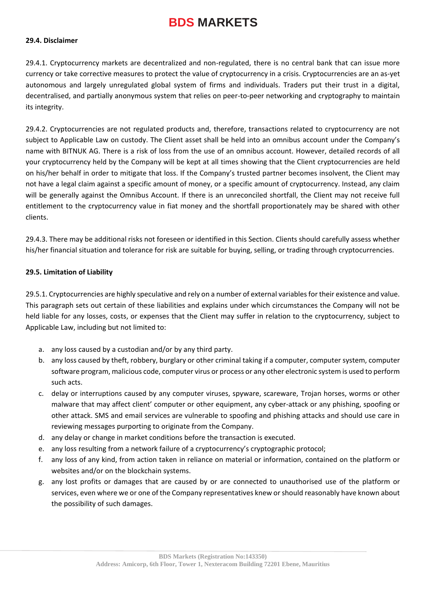#### **29.4. Disclaimer**

29.4.1. Cryptocurrency markets are decentralized and non-regulated, there is no central bank that can issue more currency or take corrective measures to protect the value of cryptocurrency in a crisis. Cryptocurrencies are an as-yet autonomous and largely unregulated global system of firms and individuals. Traders put their trust in a digital, decentralised, and partially anonymous system that relies on peer-to-peer networking and cryptography to maintain its integrity.

29.4.2. Cryptocurrencies are not regulated products and, therefore, transactions related to cryptocurrency are not subject to Applicable Law on custody. The Client asset shall be held into an omnibus account under the Company's name with BITNUK AG. There is a risk of loss from the use of an omnibus account. However, detailed records of all your cryptocurrency held by the Company will be kept at all times showing that the Client cryptocurrencies are held on his/her behalf in order to mitigate that loss. If the Company's trusted partner becomes insolvent, the Client may not have a legal claim against a specific amount of money, or a specific amount of cryptocurrency. Instead, any claim will be generally against the Omnibus Account. If there is an unreconciled shortfall, the Client may not receive full entitlement to the cryptocurrency value in fiat money and the shortfall proportionately may be shared with other clients.

29.4.3. There may be additional risks not foreseen or identified in this Section. Clients should carefully assess whether his/her financial situation and tolerance for risk are suitable for buying, selling, or trading through cryptocurrencies.

#### **29.5. Limitation of Liability**

29.5.1. Cryptocurrencies are highly speculative and rely on a number of external variables for their existence and value. This paragraph sets out certain of these liabilities and explains under which circumstances the Company will not be held liable for any losses, costs, or expenses that the Client may suffer in relation to the cryptocurrency, subject to Applicable Law, including but not limited to:

- a. any loss caused by a custodian and/or by any third party.
- b. any loss caused by theft, robbery, burglary or other criminal taking if a computer, computer system, computer software program, malicious code, computer virus or process or any other electronic system is used to perform such acts.
- c. delay or interruptions caused by any computer viruses, spyware, scareware, Trojan horses, worms or other malware that may affect client' computer or other equipment, any cyber-attack or any phishing, spoofing or other attack. SMS and email services are vulnerable to spoofing and phishing attacks and should use care in reviewing messages purporting to originate from the Company.
- d. any delay or change in market conditions before the transaction is executed.
- e. any loss resulting from a network failure of a cryptocurrency's cryptographic protocol;
- f. any loss of any kind, from action taken in reliance on material or information, contained on the platform or websites and/or on the blockchain systems.
- g. any lost profits or damages that are caused by or are connected to unauthorised use of the platform or services, even where we or one of the Company representatives knew or should reasonably have known about the possibility of such damages.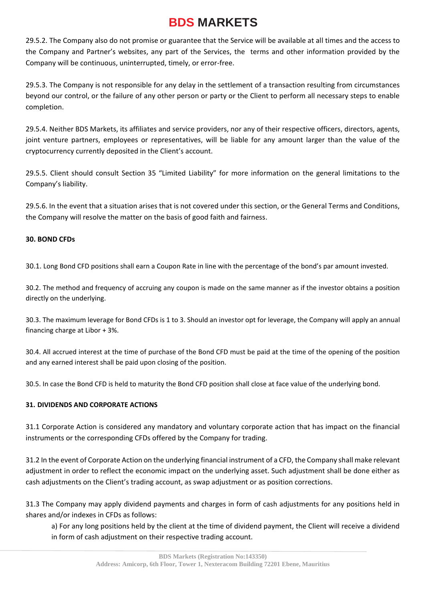29.5.2. The Company also do not promise or guarantee that the Service will be available at all times and the access to the Company and Partner's websites, any part of the Services, the terms and other information provided by the Company will be continuous, uninterrupted, timely, or error-free.

29.5.3. The Company is not responsible for any delay in the settlement of a transaction resulting from circumstances beyond our control, or the failure of any other person or party or the Client to perform all necessary steps to enable completion.

29.5.4. Neither BDS Markets, its affiliates and service providers, nor any of their respective officers, directors, agents, joint venture partners, employees or representatives, will be liable for any amount larger than the value of the cryptocurrency currently deposited in the Client's account.

29.5.5. Client should consult Section 35 "Limited Liability" for more information on the general limitations to the Company's liability.

29.5.6. In the event that a situation arises that is not covered under this section, or the General Terms and Conditions, the Company will resolve the matter on the basis of good faith and fairness.

#### **30. BOND CFDs**

30.1. Long Bond CFD positions shall earn a Coupon Rate in line with the percentage of the bond's par amount invested.

30.2. The method and frequency of accruing any coupon is made on the same manner as if the investor obtains a position directly on the underlying.

30.3. The maximum leverage for Bond CFDs is 1 to 3. Should an investor opt for leverage, the Company will apply an annual financing charge at Libor + 3%.

30.4. All accrued interest at the time of purchase of the Bond CFD must be paid at the time of the opening of the position and any earned interest shall be paid upon closing of the position.

30.5. In case the Bond CFD is held to maturity the Bond CFD position shall close at face value of the underlying bond.

### **31. DIVIDENDS AND CORPORATE ACTIONS**

31.1 Corporate Action is considered any mandatory and voluntary corporate action that has impact on the financial instruments or the corresponding CFDs offered by the Company for trading.

31.2 In the event of Corporate Action on the underlying financial instrument of a CFD, the Company shall make relevant adjustment in order to reflect the economic impact on the underlying asset. Such adjustment shall be done either as cash adjustments on the Client's trading account, as swap adjustment or as position corrections.

31.3 The Company may apply dividend payments and charges in form of cash adjustments for any positions held in shares and/or indexes in CFDs as follows:

a) For any long positions held by the client at the time of dividend payment, the Client will receive a dividend in form of cash adjustment on their respective trading account.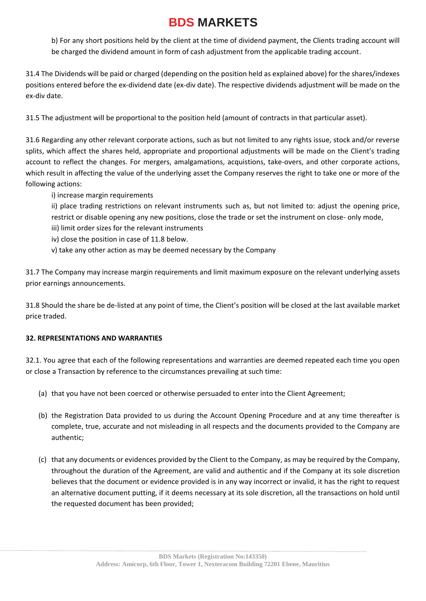b) For any short positions held by the client at the time of dividend payment, the Clients trading account will be charged the dividend amount in form of cash adjustment from the applicable trading account.

31.4 The Dividends will be paid or charged (depending on the position held as explained above) for the shares/indexes positions entered before the ex-dividend date (ex-div date). The respective dividends adjustment will be made on the ex-div date.

31.5 The adjustment will be proportional to the position held (amount of contracts in that particular asset).

31.6 Regarding any other relevant corporate actions, such as but not limited to any rights issue, stock and/or reverse splits, which affect the shares held, appropriate and proportional adjustments will be made on the Client's trading account to reflect the changes. For mergers, amalgamations, acquistions, take-overs, and other corporate actions, which result in affecting the value of the underlying asset the Company reserves the right to take one or more of the following actions:

i) increase margin requirements

ii) place trading restrictions on relevant instruments such as, but not limited to: adjust the opening price, restrict or disable opening any new positions, close the trade or set the instrument on close- only mode,

- iii) limit order sizes for the relevant instruments
- iv) close the position in case of 11.8 below.
- v) take any other action as may be deemed necessary by the Company

31.7 The Company may increase margin requirements and limit maximum exposure on the relevant underlying assets prior earnings announcements.

31.8 Should the share be de-listed at any point of time, the Client's position will be closed at the last available market price traded.

### **32. REPRESENTATIONS AND WARRANTIES**

32.1. You agree that each of the following representations and warranties are deemed repeated each time you open or close a Transaction by reference to the circumstances prevailing at such time:

- (a) that you have not been coerced or otherwise persuaded to enter into the Client Agreement;
- (b) the Registration Data provided to us during the Account Opening Procedure and at any time thereafter is complete, true, accurate and not misleading in all respects and the documents provided to the Company are authentic;
- (c) that any documents or evidences provided by the Client to the Company, as may be required by the Company, throughout the duration of the Agreement, are valid and authentic and if the Company at its sole discretion believes that the document or evidence provided is in any way incorrect or invalid, it has the right to request an alternative document putting, if it deems necessary at its sole discretion, all the transactions on hold until the requested document has been provided;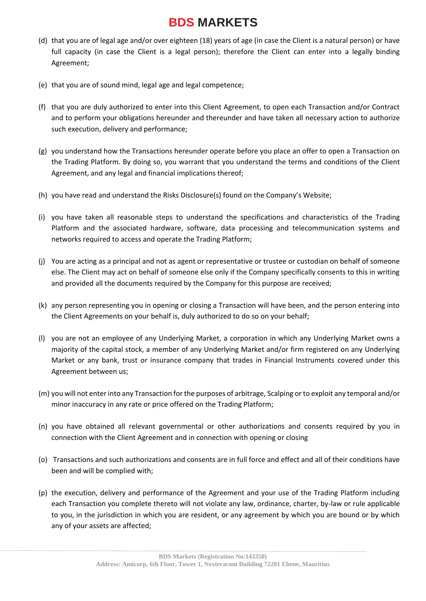- (d) that you are of legal age and/or over eighteen (18) years of age (in case the Client is a natural person) or have full capacity (in case the Client is a legal person); therefore the Client can enter into a legally binding Agreement;
- (e) that you are of sound mind, legal age and legal competence;
- (f) that you are duly authorized to enter into this Client Agreement, to open each Transaction and/or Contract and to perform your obligations hereunder and thereunder and have taken all necessary action to authorize such execution, delivery and performance;
- (g) you understand how the Transactions hereunder operate before you place an offer to open a Transaction on the Trading Platform. By doing so, you warrant that you understand the terms and conditions of the Client Agreement, and any legal and financial implications thereof;
- (h) you have read and understand the Risks Disclosure(s) found on the Company's Website;
- (i) you have taken all reasonable steps to understand the specifications and characteristics of the Trading Platform and the associated hardware, software, data processing and telecommunication systems and networks required to access and operate the Trading Platform;
- (j) You are acting as a principal and not as agent or representative or trustee or custodian on behalf of someone else. The Client may act on behalf of someone else only if the Company specifically consents to this in writing and provided all the documents required by the Company for this purpose are received;
- (k) any person representing you in opening or closing a Transaction will have been, and the person entering into the Client Agreements on your behalf is, duly authorized to do so on your behalf;
- (l) you are not an employee of any Underlying Market, a corporation in which any Underlying Market owns a majority of the capital stock, a member of any Underlying Market and/or firm registered on any Underlying Market or any bank, trust or insurance company that trades in Financial Instruments covered under this Agreement between us;
- (m) you will not enter into any Transaction for the purposes of arbitrage, Scalping or to exploit any temporal and/or minor inaccuracy in any rate or price offered on the Trading Platform;
- (n) you have obtained all relevant governmental or other authorizations and consents required by you in connection with the Client Agreement and in connection with opening or closing
- (o) Transactions and such authorizations and consents are in full force and effect and all of their conditions have been and will be complied with;
- (p) the execution, delivery and performance of the Agreement and your use of the Trading Platform including each Transaction you complete thereto will not violate any law, ordinance, charter, by-law or rule applicable to you, in the jurisdiction in which you are resident, or any agreement by which you are bound or by which any of your assets are affected;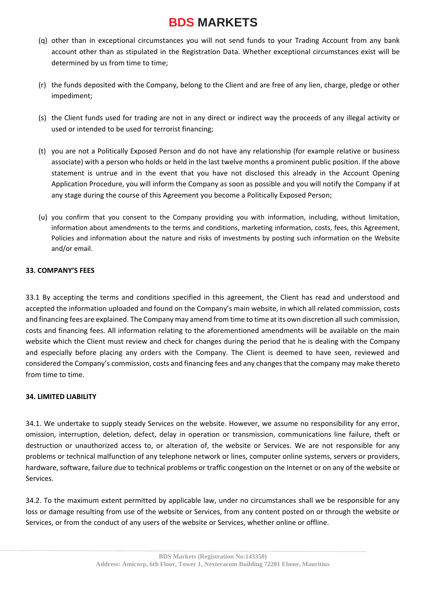- (q) other than in exceptional circumstances you will not send funds to your Trading Account from any bank account other than as stipulated in the Registration Data. Whether exceptional circumstances exist will be determined by us from time to time;
- (r) the funds deposited with the Company, belong to the Client and are free of any lien, charge, pledge or other impediment;
- (s) the Client funds used for trading are not in any direct or indirect way the proceeds of any illegal activity or used or intended to be used for terrorist financing;
- (t) you are not a Politically Exposed Person and do not have any relationship (for example relative or business associate) with a person who holds or held in the last twelve months a prominent public position. If the above statement is untrue and in the event that you have not disclosed this already in the Account Opening Application Procedure, you will inform the Company as soon as possible and you will notify the Company if at any stage during the course of this Agreement you become a Politically Exposed Person;
- (u) you confirm that you consent to the Company providing you with information, including, without limitation, information about amendments to the terms and conditions, marketing information, costs, fees, this Agreement, Policies and information about the nature and risks of investments by posting such information on the Website and/or email.

#### **33. COMPANY'S FEES**

33.1 By accepting the terms and conditions specified in this agreement, the Client has read and understood and accepted the information uploaded and found on the Company's main website, in which all related commission, costs and financing fees are explained. The Company may amend from time to time at its own discretion all such commission, costs and financing fees. All information relating to the aforementioned amendments will be available on the main website which the Client must review and check for changes during the period that he is dealing with the Company and especially before placing any orders with the Company. The Client is deemed to have seen, reviewed and considered the Company's commission, costs and financing fees and any changes that the company may make thereto from time to time.

#### **34. LIMITED LIABILITY**

34.1. We undertake to supply steady Services on the website. However, we assume no responsibility for any error, omission, interruption, deletion, defect, delay in operation or transmission, communications line failure, theft or destruction or unauthorized access to, or alteration of, the website or Services. We are not responsible for any problems or technical malfunction of any telephone network or lines, computer online systems, servers or providers, hardware, software, failure due to technical problems or traffic congestion on the Internet or on any of the website or Services.

34.2. To the maximum extent permitted by applicable law, under no circumstances shall we be responsible for any loss or damage resulting from use of the website or Services, from any content posted on or through the website or Services, or from the conduct of any users of the website or Services, whether online or offline.